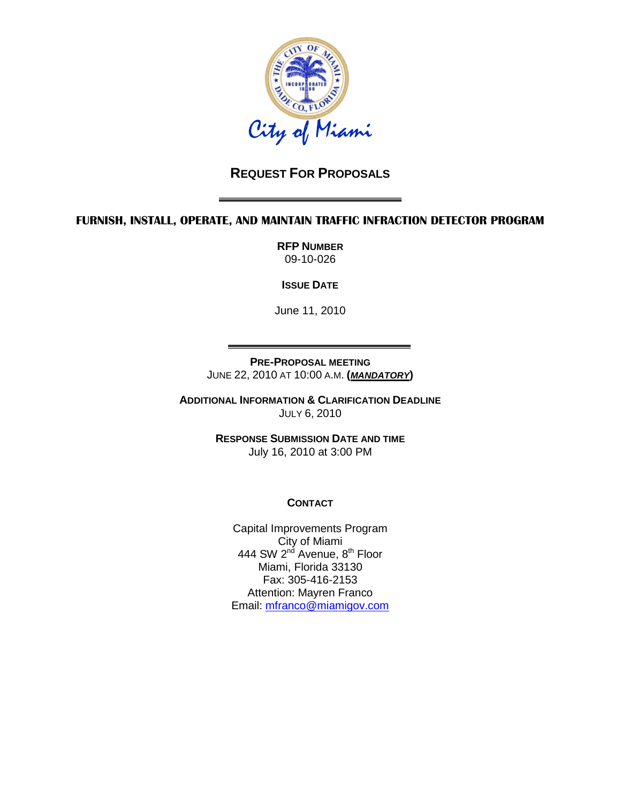

# **REQUEST FOR PROPOSALS**

#### **FURNISH, INSTALL, OPERATE, AND MAINTAIN TRAFFIC INFRACTION DETECTOR PROGRAM**

**RFP NUMBER** 09-10-026

**ISSUE DATE**

June 11, 2010

**PRE-PROPOSAL MEETING** JUNE 22, 2010 AT 10:00 A.M. **(***MANDATORY***)**

**ADDITIONAL INFORMATION & CLARIFICATION DEADLINE** JULY 6, 2010

> **RESPONSE SUBMISSION DATE AND TIME** July 16, 2010 at 3:00 PM

# **CONTACT**

Capital Improvements Program City of Miami 444 SW 2<sup>nd</sup> Avenue, 8<sup>th</sup> Floor Miami, Florida 33130 Fax: 305-416-2153 Attention: Mayren Franco Email: [mfranco@miamigov.com](mailto:mfranco@miamigov.com)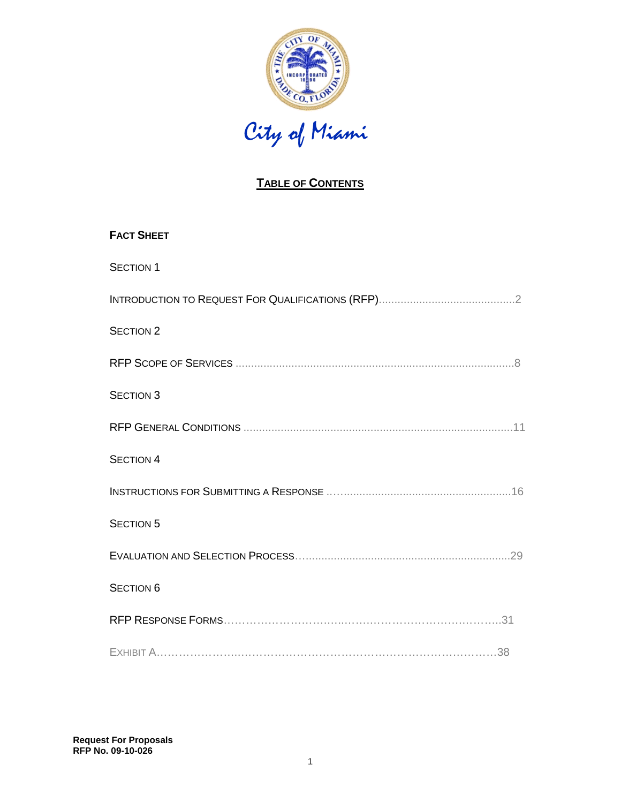

# **TABLE OF CONTENTS**

| <b>FACT SHEET</b> |
|-------------------|
| <b>SECTION 1</b>  |
|                   |
| <b>SECTION 2</b>  |
|                   |
| <b>SECTION 3</b>  |
|                   |
| <b>SECTION 4</b>  |
|                   |
| <b>SECTION 5</b>  |
|                   |
| <b>SECTION 6</b>  |
|                   |
|                   |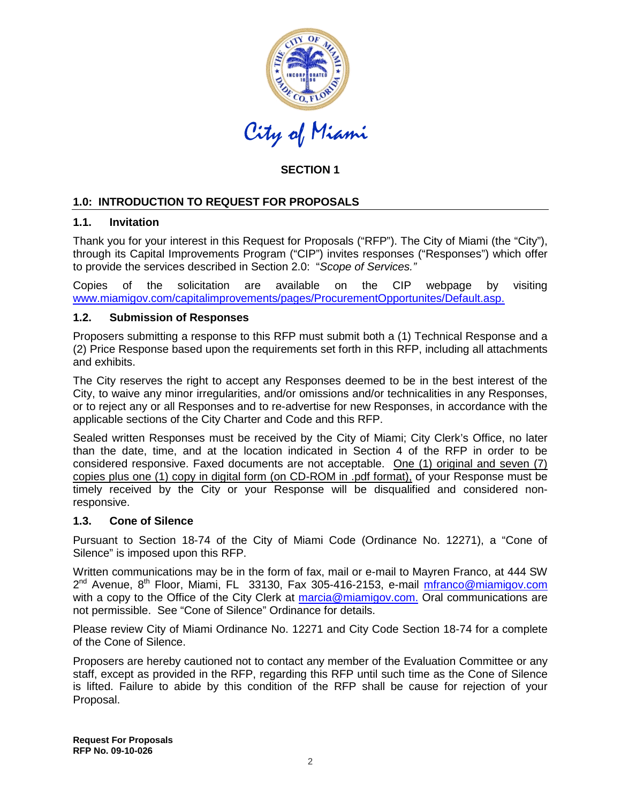

# **SECTION 1**

# **1.0: INTRODUCTION TO REQUEST FOR PROPOSALS**

#### **1.1. Invitation**

Thank you for your interest in this Request for Proposals ("RFP"). The City of Miami (the "City"), through its Capital Improvements Program ("CIP") invites responses ("Responses") which offer to provide the services described in Section 2.0: "*Scope of Services."*

Copies of the solicitation are available on the CIP webpage by visiting www.miamigov.com/capitalimprovements/pages/ProcurementOpportunites/Default.asp.

#### **1.2. Submission of Responses**

Proposers submitting a response to this RFP must submit both a (1) Technical Response and a (2) Price Response based upon the requirements set forth in this RFP, including all attachments and exhibits.

The City reserves the right to accept any Responses deemed to be in the best interest of the City, to waive any minor irregularities, and/or omissions and/or technicalities in any Responses, or to reject any or all Responses and to re-advertise for new Responses, in accordance with the applicable sections of the City Charter and Code and this RFP.

Sealed written Responses must be received by the City of Miami; City Clerk's Office, no later than the date, time, and at the location indicated in Section 4 of the RFP in order to be considered responsive. Faxed documents are not acceptable. One (1) original and seven (7) copies plus one (1) copy in digital form (on CD-ROM in .pdf format), of your Response must be timely received by the City or your Response will be disqualified and considered nonresponsive.

#### **1.3. Cone of Silence**

Pursuant to Section 18-74 of the City of Miami Code (Ordinance No. 12271), a "Cone of Silence" is imposed upon this RFP.

Written communications may be in the form of fax, mail or e-mail to Mayren Franco, at 444 SW  $2^{nd}$  Avenue,  $8^{th}$  Floor, Miami, FL 33130, Fax 305-416-2153, e-mail [mfranco@miamigov.com](mailto:cwilson@miamigov.com) with a copy to the Office of the City Clerk at <u>[marcia@miamigov.com.](mailto:marcia@miamigov.com)</u> Oral communications are not permissible. See "Cone of Silence" Ordinance for details.

Please review City of Miami Ordinance No. 12271 and City Code Section 18-74 for a complete of the Cone of Silence.

Proposers are hereby cautioned not to contact any member of the Evaluation Committee or any staff, except as provided in the RFP, regarding this RFP until such time as the Cone of Silence is lifted. Failure to abide by this condition of the RFP shall be cause for rejection of your Proposal.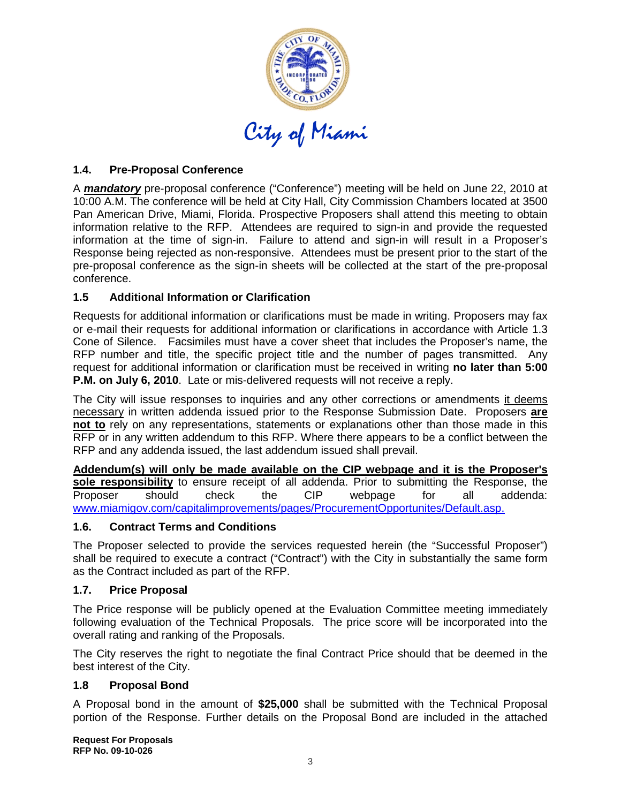

# **1.4. Pre-Proposal Conference**

A *mandatory* pre-proposal conference ("Conference") meeting will be held on June 22, 2010 at 10:00 A.M. The conference will be held at City Hall, City Commission Chambers located at 3500 Pan American Drive, Miami, Florida. Prospective Proposers shall attend this meeting to obtain information relative to the RFP. Attendees are required to sign-in and provide the requested information at the time of sign-in. Failure to attend and sign-in will result in a Proposer's Response being rejected as non-responsive. Attendees must be present prior to the start of the pre-proposal conference as the sign-in sheets will be collected at the start of the pre-proposal conference.

# **1.5 Additional Information or Clarification**

Requests for additional information or clarifications must be made in writing. Proposers may fax or e-mail their requests for additional information or clarifications in accordance with Article 1.3 Cone of Silence. Facsimiles must have a cover sheet that includes the Proposer's name, the RFP number and title, the specific project title and the number of pages transmitted. Any request for additional information or clarification must be received in writing **no later than 5:00 P.M. on July 6, 2010**. Late or mis-delivered requests will not receive a reply.

The City will issue responses to inquiries and any other corrections or amendments it deems necessary in written addenda issued prior to the Response Submission Date. Proposers **are not to** rely on any representations, statements or explanations other than those made in this RFP or in any written addendum to this RFP. Where there appears to be a conflict between the RFP and any addenda issued, the last addendum issued shall prevail.

**Addendum(s) will only be made available on the CIP webpage and it is the Proposer's sole responsibility** to ensure receipt of all addenda. Prior to submitting the Response, the Proposer should check the CIP webpage for all addenda: www.miamigov.com/capitalimprovements/pages/ProcurementOpportunites/Default.asp.

# **1.6. Contract Terms and Conditions**

The Proposer selected to provide the services requested herein (the "Successful Proposer") shall be required to execute a contract ("Contract") with the City in substantially the same form as the Contract included as part of the RFP.

#### **1.7. Price Proposal**

The Price response will be publicly opened at the Evaluation Committee meeting immediately following evaluation of the Technical Proposals. The price score will be incorporated into the overall rating and ranking of the Proposals.

The City reserves the right to negotiate the final Contract Price should that be deemed in the best interest of the City.

#### **1.8 Proposal Bond**

A Proposal bond in the amount of **\$25,000** shall be submitted with the Technical Proposal portion of the Response. Further details on the Proposal Bond are included in the attached

**Request For Proposals RFP No. 09-10-026**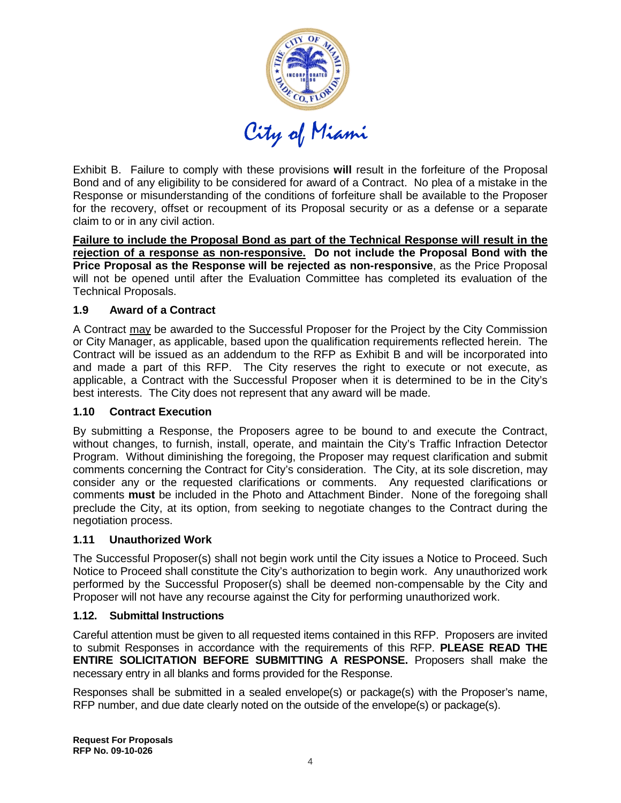

Exhibit B. Failure to comply with these provisions **will** result in the forfeiture of the Proposal Bond and of any eligibility to be considered for award of a Contract. No plea of a mistake in the Response or misunderstanding of the conditions of forfeiture shall be available to the Proposer for the recovery, offset or recoupment of its Proposal security or as a defense or a separate claim to or in any civil action.

**Failure to include the Proposal Bond as part of the Technical Response will result in the rejection of a response as non-responsive. Do not include the Proposal Bond with the Price Proposal as the Response will be rejected as non-responsive**, as the Price Proposal will not be opened until after the Evaluation Committee has completed its evaluation of the Technical Proposals.

# **1.9 Award of a Contract**

A Contract may be awarded to the Successful Proposer for the Project by the City Commission or City Manager, as applicable, based upon the qualification requirements reflected herein. The Contract will be issued as an addendum to the RFP as Exhibit B and will be incorporated into and made a part of this RFP. The City reserves the right to execute or not execute, as applicable, a Contract with the Successful Proposer when it is determined to be in the City's best interests. The City does not represent that any award will be made.

#### **1.10 Contract Execution**

By submitting a Response, the Proposers agree to be bound to and execute the Contract, without changes, to furnish, install, operate, and maintain the City's Traffic Infraction Detector Program. Without diminishing the foregoing, the Proposer may request clarification and submit comments concerning the Contract for City's consideration. The City, at its sole discretion, may consider any or the requested clarifications or comments. Any requested clarifications or comments **must** be included in the Photo and Attachment Binder. None of the foregoing shall preclude the City, at its option, from seeking to negotiate changes to the Contract during the negotiation process.

# **1.11 Unauthorized Work**

The Successful Proposer(s) shall not begin work until the City issues a Notice to Proceed. Such Notice to Proceed shall constitute the City's authorization to begin work. Any unauthorized work performed by the Successful Proposer(s) shall be deemed non-compensable by the City and Proposer will not have any recourse against the City for performing unauthorized work.

#### **1.12. Submittal Instructions**

Careful attention must be given to all requested items contained in this RFP. Proposers are invited to submit Responses in accordance with the requirements of this RFP. **PLEASE READ THE ENTIRE SOLICITATION BEFORE SUBMITTING A RESPONSE.** Proposers shall make the necessary entry in all blanks and forms provided for the Response.

Responses shall be submitted in a sealed envelope(s) or package(s) with the Proposer's name, RFP number, and due date clearly noted on the outside of the envelope(s) or package(s).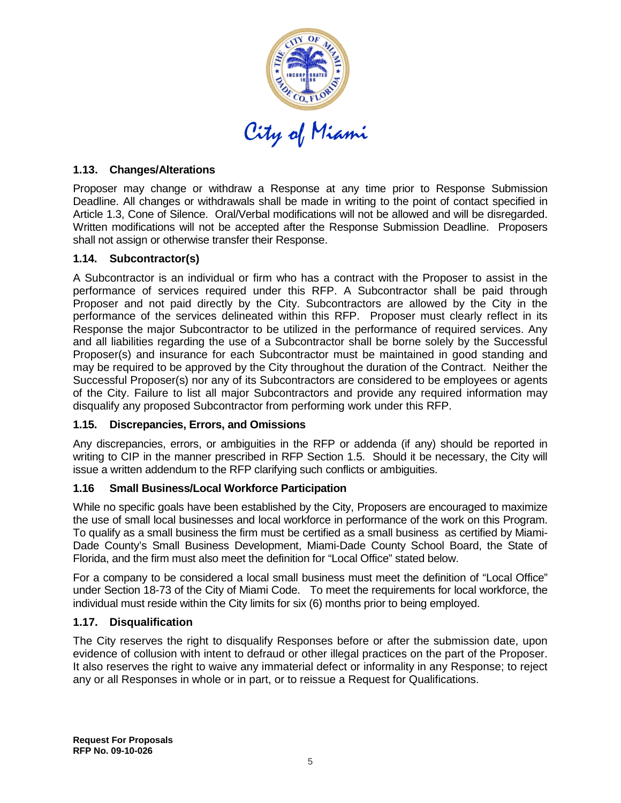

#### **1.13. Changes/Alterations**

Proposer may change or withdraw a Response at any time prior to Response Submission Deadline. All changes or withdrawals shall be made in writing to the point of contact specified in Article 1.3, Cone of Silence. Oral/Verbal modifications will not be allowed and will be disregarded. Written modifications will not be accepted after the Response Submission Deadline. Proposers shall not assign or otherwise transfer their Response.

#### **1.14. Subcontractor(s)**

A Subcontractor is an individual or firm who has a contract with the Proposer to assist in the performance of services required under this RFP. A Subcontractor shall be paid through Proposer and not paid directly by the City. Subcontractors are allowed by the City in the performance of the services delineated within this RFP. Proposer must clearly reflect in its Response the major Subcontractor to be utilized in the performance of required services. Any and all liabilities regarding the use of a Subcontractor shall be borne solely by the Successful Proposer(s) and insurance for each Subcontractor must be maintained in good standing and may be required to be approved by the City throughout the duration of the Contract. Neither the Successful Proposer(s) nor any of its Subcontractors are considered to be employees or agents of the City. Failure to list all major Subcontractors and provide any required information may disqualify any proposed Subcontractor from performing work under this RFP.

#### **1.15. Discrepancies, Errors, and Omissions**

Any discrepancies, errors, or ambiguities in the RFP or addenda (if any) should be reported in writing to CIP in the manner prescribed in RFP Section 1.5. Should it be necessary, the City will issue a written addendum to the RFP clarifying such conflicts or ambiguities.

#### **1.16 Small Business/Local Workforce Participation**

While no specific goals have been established by the City, Proposers are encouraged to maximize the use of small local businesses and local workforce in performance of the work on this Program. To qualify as a small business the firm must be certified as a small business as certified by Miami-Dade County's Small Business Development, Miami-Dade County School Board, the State of Florida, and the firm must also meet the definition for "Local Office" stated below.

For a company to be considered a local small business must meet the definition of "Local Office" under Section 18-73 of the City of Miami Code. To meet the requirements for local workforce, the individual must reside within the City limits for six (6) months prior to being employed.

#### **1.17. Disqualification**

The City reserves the right to disqualify Responses before or after the submission date, upon evidence of collusion with intent to defraud or other illegal practices on the part of the Proposer. It also reserves the right to waive any immaterial defect or informality in any Response; to reject any or all Responses in whole or in part, or to reissue a Request for Qualifications.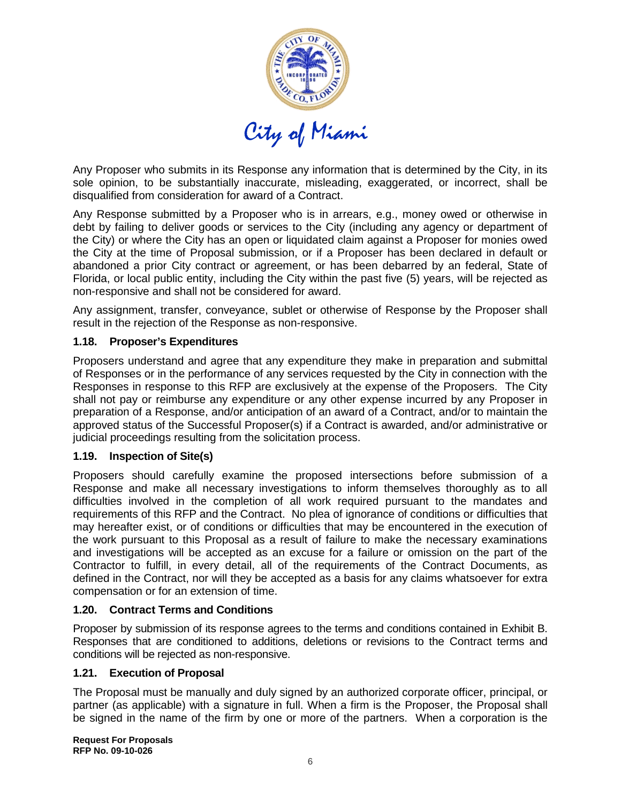

Any Proposer who submits in its Response any information that is determined by the City, in its sole opinion, to be substantially inaccurate, misleading, exaggerated, or incorrect, shall be disqualified from consideration for award of a Contract.

Any Response submitted by a Proposer who is in arrears, e.g., money owed or otherwise in debt by failing to deliver goods or services to the City (including any agency or department of the City) or where the City has an open or liquidated claim against a Proposer for monies owed the City at the time of Proposal submission, or if a Proposer has been declared in default or abandoned a prior City contract or agreement, or has been debarred by an federal, State of Florida, or local public entity, including the City within the past five (5) years, will be rejected as non-responsive and shall not be considered for award.

Any assignment, transfer, conveyance, sublet or otherwise of Response by the Proposer shall result in the rejection of the Response as non-responsive.

#### **1.18. Proposer's Expenditures**

Proposers understand and agree that any expenditure they make in preparation and submittal of Responses or in the performance of any services requested by the City in connection with the Responses in response to this RFP are exclusively at the expense of the Proposers. The City shall not pay or reimburse any expenditure or any other expense incurred by any Proposer in preparation of a Response, and/or anticipation of an award of a Contract, and/or to maintain the approved status of the Successful Proposer(s) if a Contract is awarded, and/or administrative or judicial proceedings resulting from the solicitation process.

#### **1.19. Inspection of Site(s)**

Proposers should carefully examine the proposed intersections before submission of a Response and make all necessary investigations to inform themselves thoroughly as to all difficulties involved in the completion of all work required pursuant to the mandates and requirements of this RFP and the Contract. No plea of ignorance of conditions or difficulties that may hereafter exist, or of conditions or difficulties that may be encountered in the execution of the work pursuant to this Proposal as a result of failure to make the necessary examinations and investigations will be accepted as an excuse for a failure or omission on the part of the Contractor to fulfill, in every detail, all of the requirements of the Contract Documents, as defined in the Contract, nor will they be accepted as a basis for any claims whatsoever for extra compensation or for an extension of time.

#### **1.20. Contract Terms and Conditions**

Proposer by submission of its response agrees to the terms and conditions contained in Exhibit B. Responses that are conditioned to additions, deletions or revisions to the Contract terms and conditions will be rejected as non-responsive.

#### **1.21. Execution of Proposal**

The Proposal must be manually and duly signed by an authorized corporate officer, principal, or partner (as applicable) with a signature in full. When a firm is the Proposer, the Proposal shall be signed in the name of the firm by one or more of the partners. When a corporation is the

**Request For Proposals RFP No. 09-10-026**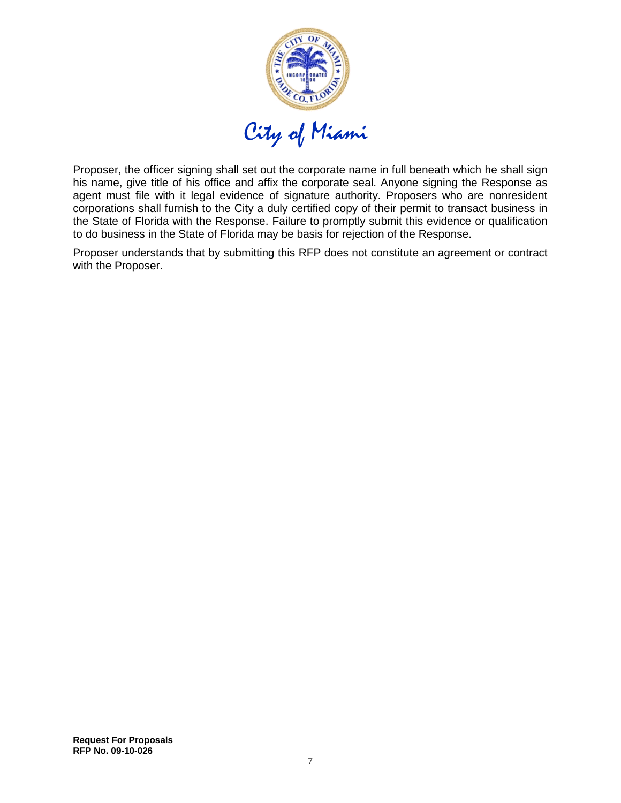

Proposer, the officer signing shall set out the corporate name in full beneath which he shall sign his name, give title of his office and affix the corporate seal. Anyone signing the Response as agent must file with it legal evidence of signature authority. Proposers who are nonresident corporations shall furnish to the City a duly certified copy of their permit to transact business in the State of Florida with the Response. Failure to promptly submit this evidence or qualification to do business in the State of Florida may be basis for rejection of the Response.

Proposer understands that by submitting this RFP does not constitute an agreement or contract with the Proposer.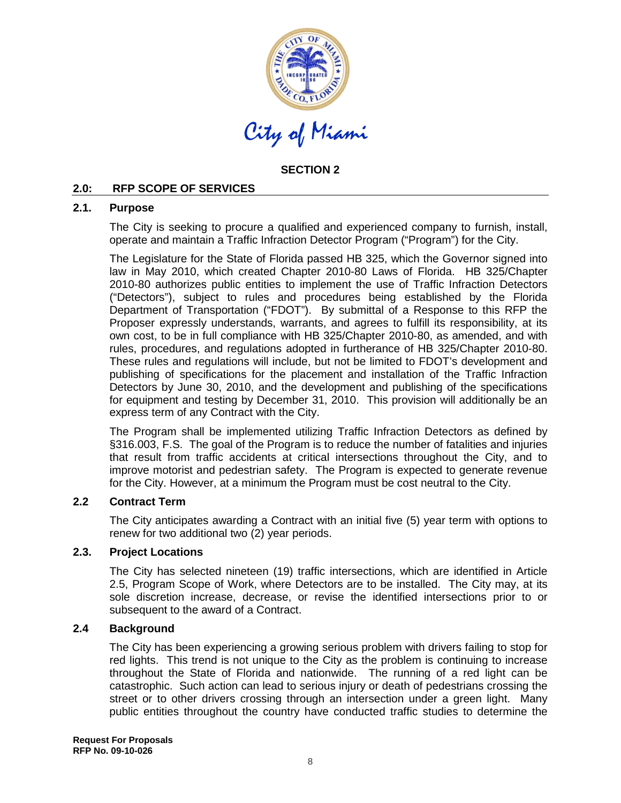

# **SECTION 2**

#### **2.0: RFP SCOPE OF SERVICES**

#### **2.1. Purpose**

The City is seeking to procure a qualified and experienced company to furnish, install, operate and maintain a Traffic Infraction Detector Program ("Program") for the City.

The Legislature for the State of Florida passed HB 325, which the Governor signed into law in May 2010, which created Chapter 2010-80 Laws of Florida. HB 325/Chapter 2010-80 authorizes public entities to implement the use of Traffic Infraction Detectors ("Detectors"), subject to rules and procedures being established by the Florida Department of Transportation ("FDOT"). By submittal of a Response to this RFP the Proposer expressly understands, warrants, and agrees to fulfill its responsibility, at its own cost, to be in full compliance with HB 325/Chapter 2010-80, as amended, and with rules, procedures, and regulations adopted in furtherance of HB 325/Chapter 2010-80. These rules and regulations will include, but not be limited to FDOT's development and publishing of specifications for the placement and installation of the Traffic Infraction Detectors by June 30, 2010, and the development and publishing of the specifications for equipment and testing by December 31, 2010. This provision will additionally be an express term of any Contract with the City.

The Program shall be implemented utilizing Traffic Infraction Detectors as defined by §316.003, F.S. The goal of the Program is to reduce the number of fatalities and injuries that result from traffic accidents at critical intersections throughout the City, and to improve motorist and pedestrian safety. The Program is expected to generate revenue for the City. However, at a minimum the Program must be cost neutral to the City.

#### **2.2 Contract Term**

The City anticipates awarding a Contract with an initial five (5) year term with options to renew for two additional two (2) year periods.

#### **2.3. Project Locations**

The City has selected nineteen (19) traffic intersections, which are identified in Article 2.5, Program Scope of Work, where Detectors are to be installed. The City may, at its sole discretion increase, decrease, or revise the identified intersections prior to or subsequent to the award of a Contract.

#### **2.4 Background**

The City has been experiencing a growing serious problem with drivers failing to stop for red lights. This trend is not unique to the City as the problem is continuing to increase throughout the State of Florida and nationwide. The running of a red light can be catastrophic. Such action can lead to serious injury or death of pedestrians crossing the street or to other drivers crossing through an intersection under a green light. Many public entities throughout the country have conducted traffic studies to determine the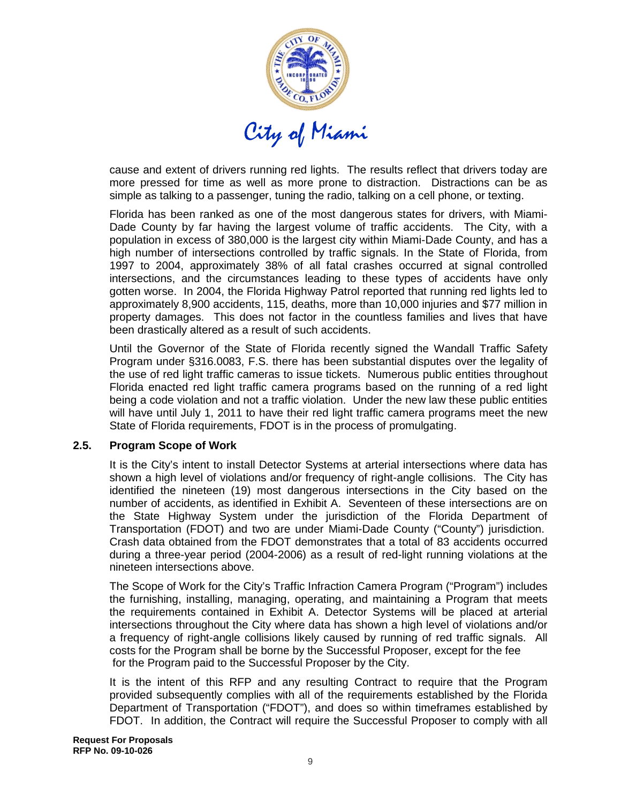

cause and extent of drivers running red lights. The results reflect that drivers today are more pressed for time as well as more prone to distraction. Distractions can be as simple as talking to a passenger, tuning the radio, talking on a cell phone, or texting.

Florida has been ranked as one of the most dangerous states for drivers, with Miami-Dade County by far having the largest volume of traffic accidents. The City, with a population in excess of 380,000 is the largest city within Miami-Dade County, and has a high number of intersections controlled by traffic signals. In the State of Florida, from 1997 to 2004, approximately 38% of all fatal crashes occurred at signal controlled intersections, and the circumstances leading to these types of accidents have only gotten worse. In 2004, the Florida Highway Patrol reported that running red lights led to approximately 8,900 accidents, 115, deaths, more than 10,000 injuries and \$77 million in property damages. This does not factor in the countless families and lives that have been drastically altered as a result of such accidents.

Until the Governor of the State of Florida recently signed the Wandall Traffic Safety Program under §316.0083, F.S. there has been substantial disputes over the legality of the use of red light traffic cameras to issue tickets. Numerous public entities throughout Florida enacted red light traffic camera programs based on the running of a red light being a code violation and not a traffic violation. Under the new law these public entities will have until July 1, 2011 to have their red light traffic camera programs meet the new State of Florida requirements, FDOT is in the process of promulgating.

#### **2.5. Program Scope of Work**

It is the City's intent to install Detector Systems at arterial intersections where data has shown a high level of violations and/or frequency of right-angle collisions. The City has identified the nineteen (19) most dangerous intersections in the City based on the number of accidents, as identified in Exhibit A. Seventeen of these intersections are on the State Highway System under the jurisdiction of the Florida Department of Transportation (FDOT) and two are under Miami-Dade County ("County") jurisdiction. Crash data obtained from the FDOT demonstrates that a total of 83 accidents occurred during a three-year period (2004-2006) as a result of red-light running violations at the nineteen intersections above.

The Scope of Work for the City's Traffic Infraction Camera Program ("Program") includes the furnishing, installing, managing, operating, and maintaining a Program that meets the requirements contained in Exhibit A. Detector Systems will be placed at arterial intersections throughout the City where data has shown a high level of violations and/or a frequency of right-angle collisions likely caused by running of red traffic signals. All costs for the Program shall be borne by the Successful Proposer, except for the fee for the Program paid to the Successful Proposer by the City.

It is the intent of this RFP and any resulting Contract to require that the Program provided subsequently complies with all of the requirements established by the Florida Department of Transportation ("FDOT"), and does so within timeframes established by FDOT. In addition, the Contract will require the Successful Proposer to comply with all

**Request For Proposals RFP No. 09-10-026**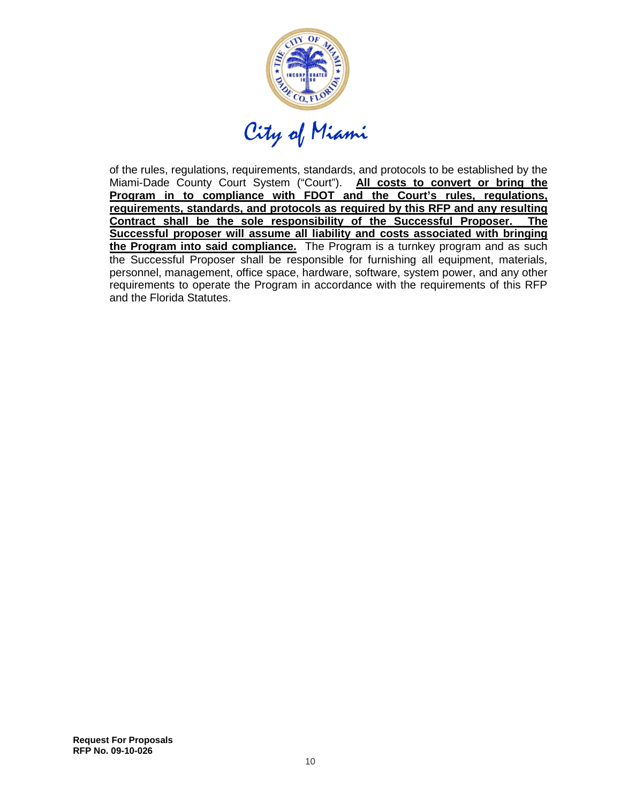

of the rules, regulations, requirements, standards, and protocols to be established by the Miami-Dade County Court System ("Court"). **All costs to convert or bring the Program in to compliance with FDOT and the Court's rules, regulations, requirements, standards, and protocols as required by this RFP and any resulting Contract shall be the sole responsibility of the Successful Proposer. The Successful proposer will assume all liability and costs associated with bringing the Program into said compliance.** The Program is a turnkey program and as such the Successful Proposer shall be responsible for furnishing all equipment, materials, personnel, management, office space, hardware, software, system power, and any other requirements to operate the Program in accordance with the requirements of this RFP and the Florida Statutes.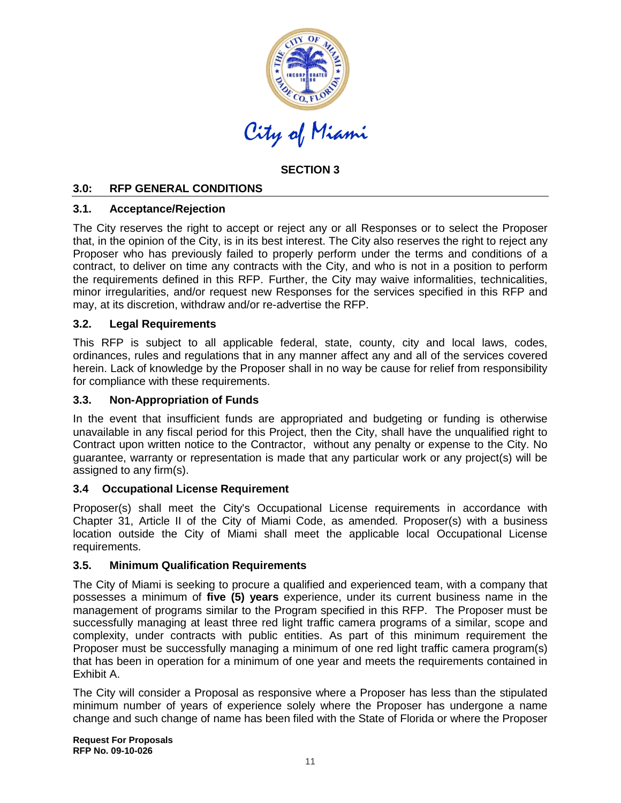

# **SECTION 3**

# **3.0: RFP GENERAL CONDITIONS**

#### **3.1. Acceptance/Rejection**

The City reserves the right to accept or reject any or all Responses or to select the Proposer that, in the opinion of the City, is in its best interest. The City also reserves the right to reject any Proposer who has previously failed to properly perform under the terms and conditions of a contract, to deliver on time any contracts with the City, and who is not in a position to perform the requirements defined in this RFP. Further, the City may waive informalities, technicalities, minor irregularities, and/or request new Responses for the services specified in this RFP and may, at its discretion, withdraw and/or re-advertise the RFP.

#### **3.2. Legal Requirements**

This RFP is subject to all applicable federal, state, county, city and local laws, codes, ordinances, rules and regulations that in any manner affect any and all of the services covered herein. Lack of knowledge by the Proposer shall in no way be cause for relief from responsibility for compliance with these requirements.

#### **3.3. Non-Appropriation of Funds**

In the event that insufficient funds are appropriated and budgeting or funding is otherwise unavailable in any fiscal period for this Project, then the City, shall have the unqualified right to Contract upon written notice to the Contractor, without any penalty or expense to the City. No guarantee, warranty or representation is made that any particular work or any project(s) will be assigned to any firm(s).

#### **3.4 Occupational License Requirement**

Proposer(s) shall meet the City's Occupational License requirements in accordance with Chapter 31, Article II of the City of Miami Code, as amended. Proposer(s) with a business location outside the City of Miami shall meet the applicable local Occupational License requirements.

#### **3.5. Minimum Qualification Requirements**

The City of Miami is seeking to procure a qualified and experienced team, with a company that possesses a minimum of **five (5) years** experience, under its current business name in the management of programs similar to the Program specified in this RFP. The Proposer must be successfully managing at least three red light traffic camera programs of a similar, scope and complexity, under contracts with public entities. As part of this minimum requirement the Proposer must be successfully managing a minimum of one red light traffic camera program(s) that has been in operation for a minimum of one year and meets the requirements contained in Exhibit A.

The City will consider a Proposal as responsive where a Proposer has less than the stipulated minimum number of years of experience solely where the Proposer has undergone a name change and such change of name has been filed with the State of Florida or where the Proposer

**Request For Proposals RFP No. 09-10-026**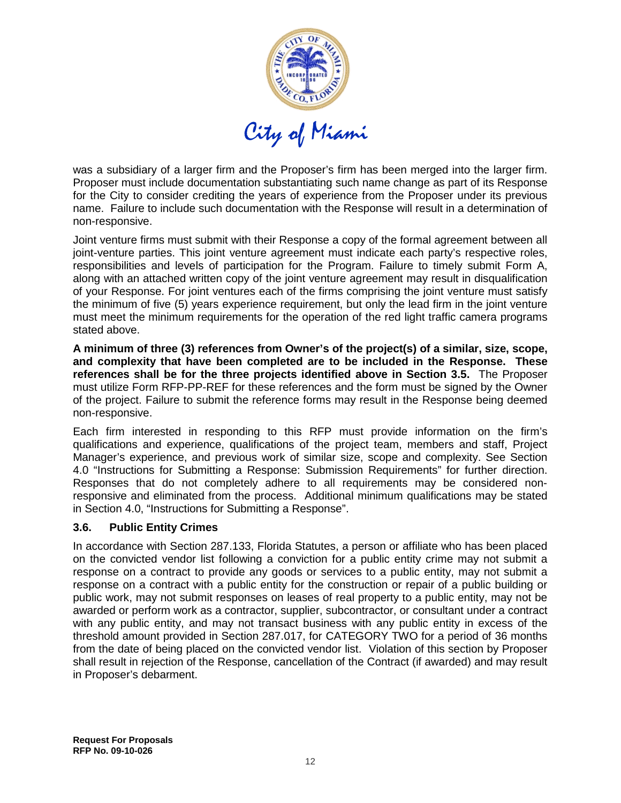

was a subsidiary of a larger firm and the Proposer's firm has been merged into the larger firm. Proposer must include documentation substantiating such name change as part of its Response for the City to consider crediting the years of experience from the Proposer under its previous name. Failure to include such documentation with the Response will result in a determination of non-responsive.

Joint venture firms must submit with their Response a copy of the formal agreement between all joint-venture parties. This joint venture agreement must indicate each party's respective roles, responsibilities and levels of participation for the Program. Failure to timely submit Form A, along with an attached written copy of the joint venture agreement may result in disqualification of your Response. For joint ventures each of the firms comprising the joint venture must satisfy the minimum of five (5) years experience requirement, but only the lead firm in the joint venture must meet the minimum requirements for the operation of the red light traffic camera programs stated above.

**A minimum of three (3) references from Owner's of the project(s) of a similar, size, scope, and complexity that have been completed are to be included in the Response. These references shall be for the three projects identified above in Section 3.5.** The Proposer must utilize Form RFP-PP-REF for these references and the form must be signed by the Owner of the project. Failure to submit the reference forms may result in the Response being deemed non-responsive.

Each firm interested in responding to this RFP must provide information on the firm's qualifications and experience, qualifications of the project team, members and staff, Project Manager's experience, and previous work of similar size, scope and complexity. See Section 4.0 "Instructions for Submitting a Response: Submission Requirements" for further direction. Responses that do not completely adhere to all requirements may be considered nonresponsive and eliminated from the process. Additional minimum qualifications may be stated in Section 4.0, "Instructions for Submitting a Response".

#### **3.6. Public Entity Crimes**

In accordance with Section 287.133, Florida Statutes, a person or affiliate who has been placed on the convicted vendor list following a conviction for a public entity crime may not submit a response on a contract to provide any goods or services to a public entity, may not submit a response on a contract with a public entity for the construction or repair of a public building or public work, may not submit responses on leases of real property to a public entity, may not be awarded or perform work as a contractor, supplier, subcontractor, or consultant under a contract with any public entity, and may not transact business with any public entity in excess of the threshold amount provided in Section 287.017, for CATEGORY TWO for a period of 36 months from the date of being placed on the convicted vendor list. Violation of this section by Proposer shall result in rejection of the Response, cancellation of the Contract (if awarded) and may result in Proposer's debarment.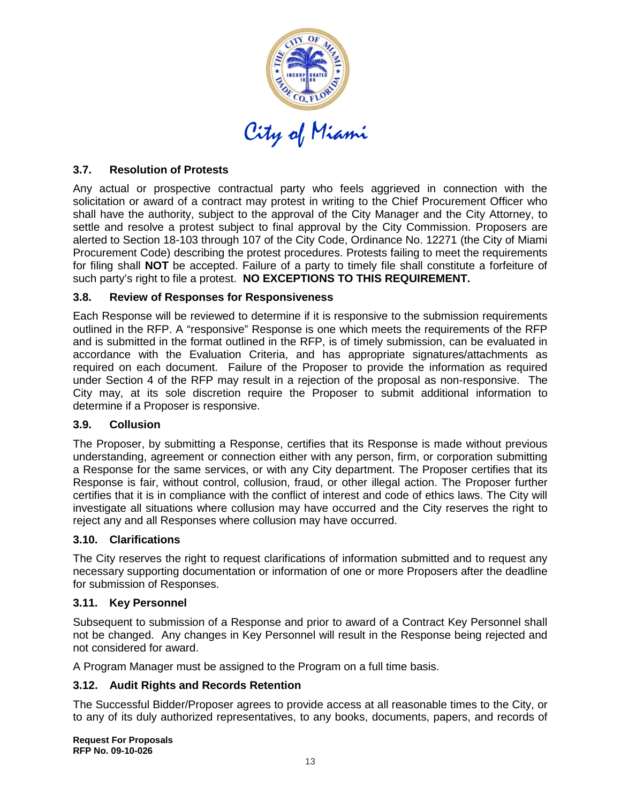

# **3.7. Resolution of Protests**

Any actual or prospective contractual party who feels aggrieved in connection with the solicitation or award of a contract may protest in writing to the Chief Procurement Officer who shall have the authority, subject to the approval of the City Manager and the City Attorney, to settle and resolve a protest subject to final approval by the City Commission. Proposers are alerted to Section 18-103 through 107 of the City Code, Ordinance No. 12271 (the City of Miami Procurement Code) describing the protest procedures. Protests failing to meet the requirements for filing shall **NOT** be accepted. Failure of a party to timely file shall constitute a forfeiture of such party's right to file a protest. **NO EXCEPTIONS TO THIS REQUIREMENT.** 

#### **3.8. Review of Responses for Responsiveness**

Each Response will be reviewed to determine if it is responsive to the submission requirements outlined in the RFP. A "responsive" Response is one which meets the requirements of the RFP and is submitted in the format outlined in the RFP, is of timely submission, can be evaluated in accordance with the Evaluation Criteria, and has appropriate signatures/attachments as required on each document. Failure of the Proposer to provide the information as required under Section 4 of the RFP may result in a rejection of the proposal as non-responsive. The City may, at its sole discretion require the Proposer to submit additional information to determine if a Proposer is responsive.

#### **3.9. Collusion**

The Proposer, by submitting a Response, certifies that its Response is made without previous understanding, agreement or connection either with any person, firm, or corporation submitting a Response for the same services, or with any City department. The Proposer certifies that its Response is fair, without control, collusion, fraud, or other illegal action. The Proposer further certifies that it is in compliance with the conflict of interest and code of ethics laws. The City will investigate all situations where collusion may have occurred and the City reserves the right to reject any and all Responses where collusion may have occurred.

#### **3.10. Clarifications**

The City reserves the right to request clarifications of information submitted and to request any necessary supporting documentation or information of one or more Proposers after the deadline for submission of Responses.

#### **3.11. Key Personnel**

Subsequent to submission of a Response and prior to award of a Contract Key Personnel shall not be changed. Any changes in Key Personnel will result in the Response being rejected and not considered for award.

A Program Manager must be assigned to the Program on a full time basis.

# **3.12. Audit Rights and Records Retention**

The Successful Bidder/Proposer agrees to provide access at all reasonable times to the City, or to any of its duly authorized representatives, to any books, documents, papers, and records of

**Request For Proposals RFP No. 09-10-026**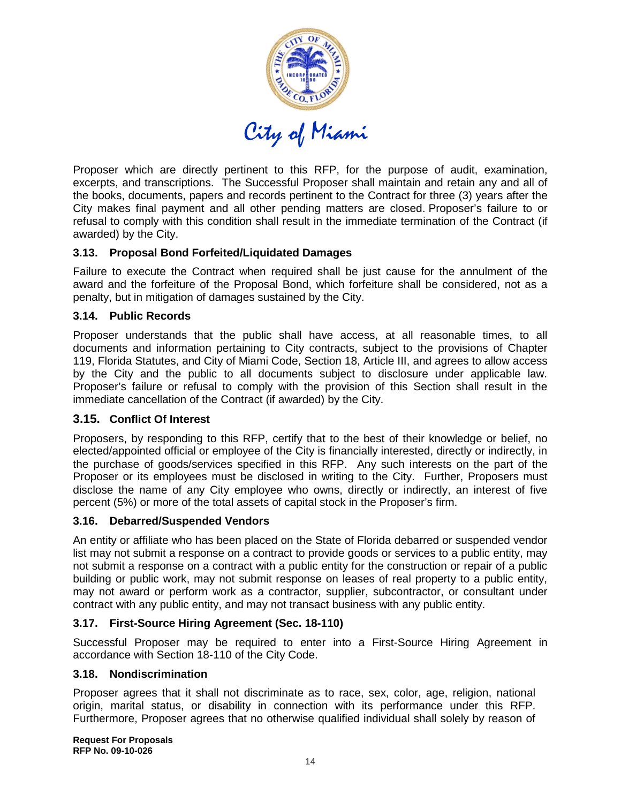

Proposer which are directly pertinent to this RFP, for the purpose of audit, examination, excerpts, and transcriptions. The Successful Proposer shall maintain and retain any and all of the books, documents, papers and records pertinent to the Contract for three (3) years after the City makes final payment and all other pending matters are closed. Proposer's failure to or refusal to comply with this condition shall result in the immediate termination of the Contract (if awarded) by the City.

# **3.13. Proposal Bond Forfeited/Liquidated Damages**

Failure to execute the Contract when required shall be just cause for the annulment of the award and the forfeiture of the Proposal Bond, which forfeiture shall be considered, not as a penalty, but in mitigation of damages sustained by the City.

#### **3.14. Public Records**

Proposer understands that the public shall have access, at all reasonable times, to all documents and information pertaining to City contracts, subject to the provisions of Chapter 119, Florida Statutes, and City of Miami Code, Section 18, Article III, and agrees to allow access by the City and the public to all documents subject to disclosure under applicable law. Proposer's failure or refusal to comply with the provision of this Section shall result in the immediate cancellation of the Contract (if awarded) by the City.

# **3.15. Conflict Of Interest**

Proposers, by responding to this RFP, certify that to the best of their knowledge or belief, no elected/appointed official or employee of the City is financially interested, directly or indirectly, in the purchase of goods/services specified in this RFP. Any such interests on the part of the Proposer or its employees must be disclosed in writing to the City. Further, Proposers must disclose the name of any City employee who owns, directly or indirectly, an interest of five percent (5%) or more of the total assets of capital stock in the Proposer's firm.

#### **3.16. Debarred/Suspended Vendors**

An entity or affiliate who has been placed on the State of Florida debarred or suspended vendor list may not submit a response on a contract to provide goods or services to a public entity, may not submit a response on a contract with a public entity for the construction or repair of a public building or public work, may not submit response on leases of real property to a public entity, may not award or perform work as a contractor, supplier, subcontractor, or consultant under contract with any public entity, and may not transact business with any public entity.

# **3.17. First-Source Hiring Agreement (Sec. 18-110)**

Successful Proposer may be required to enter into a First-Source Hiring Agreement in accordance with Section 18-110 of the City Code.

#### **3.18. Nondiscrimination**

Proposer agrees that it shall not discriminate as to race, sex, color, age, religion, national origin, marital status, or disability in connection with its performance under this RFP. Furthermore, Proposer agrees that no otherwise qualified individual shall solely by reason of

**Request For Proposals RFP No. 09-10-026**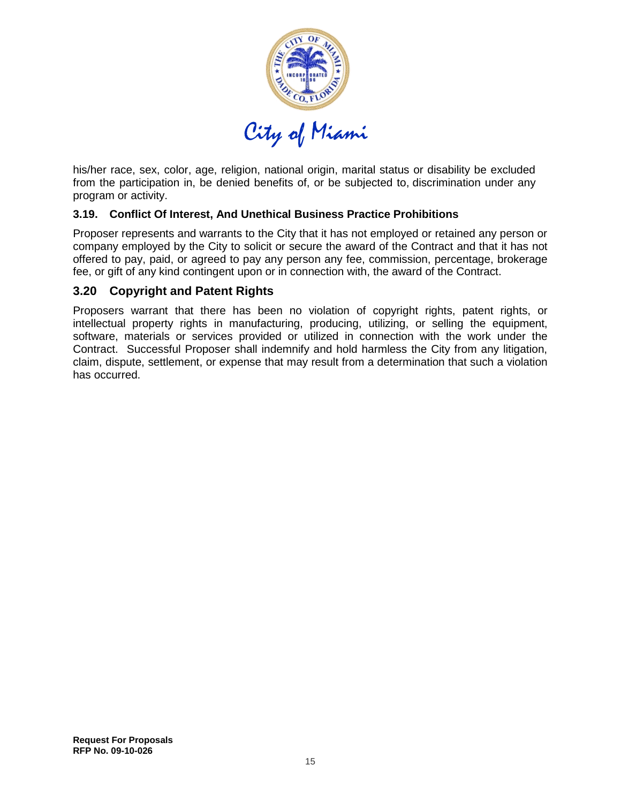

his/her race, sex, color, age, religion, national origin, marital status or disability be excluded from the participation in, be denied benefits of, or be subjected to, discrimination under any program or activity.

#### **3.19. Conflict Of Interest, And Unethical Business Practice Prohibitions**

Proposer represents and warrants to the City that it has not employed or retained any person or company employed by the City to solicit or secure the award of the Contract and that it has not offered to pay, paid, or agreed to pay any person any fee, commission, percentage, brokerage fee, or gift of any kind contingent upon or in connection with, the award of the Contract.

#### **3.20 Copyright and Patent Rights**

Proposers warrant that there has been no violation of copyright rights, patent rights, or intellectual property rights in manufacturing, producing, utilizing, or selling the equipment, software, materials or services provided or utilized in connection with the work under the Contract. Successful Proposer shall indemnify and hold harmless the City from any litigation, claim, dispute, settlement, or expense that may result from a determination that such a violation has occurred.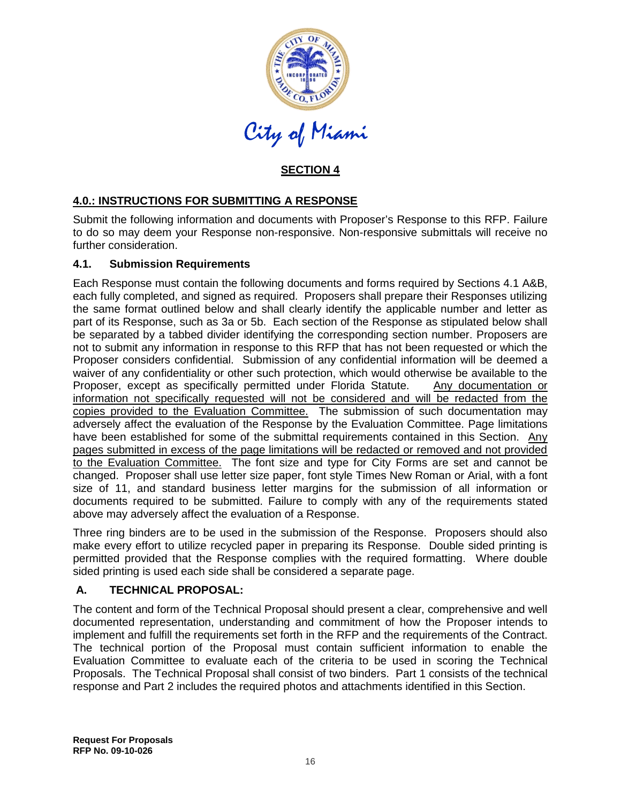

# **SECTION 4**

# **4.0.: INSTRUCTIONS FOR SUBMITTING A RESPONSE**

Submit the following information and documents with Proposer's Response to this RFP. Failure to do so may deem your Response non-responsive. Non-responsive submittals will receive no further consideration.

#### **4.1. Submission Requirements**

Each Response must contain the following documents and forms required by Sections 4.1 A&B, each fully completed, and signed as required. Proposers shall prepare their Responses utilizing the same format outlined below and shall clearly identify the applicable number and letter as part of its Response, such as 3a or 5b. Each section of the Response as stipulated below shall be separated by a tabbed divider identifying the corresponding section number. Proposers are not to submit any information in response to this RFP that has not been requested or which the Proposer considers confidential. Submission of any confidential information will be deemed a waiver of any confidentiality or other such protection, which would otherwise be available to the Proposer, except as specifically permitted under Florida Statute. Any documentation or information not specifically requested will not be considered and will be redacted from the copies provided to the Evaluation Committee. The submission of such documentation may adversely affect the evaluation of the Response by the Evaluation Committee. Page limitations have been established for some of the submittal requirements contained in this Section. Any pages submitted in excess of the page limitations will be redacted or removed and not provided to the Evaluation Committee. The font size and type for City Forms are set and cannot be changed. Proposer shall use letter size paper, font style Times New Roman or Arial, with a font size of 11, and standard business letter margins for the submission of all information or documents required to be submitted. Failure to comply with any of the requirements stated above may adversely affect the evaluation of a Response.

Three ring binders are to be used in the submission of the Response. Proposers should also make every effort to utilize recycled paper in preparing its Response. Double sided printing is permitted provided that the Response complies with the required formatting. Where double sided printing is used each side shall be considered a separate page.

# **A. TECHNICAL PROPOSAL:**

The content and form of the Technical Proposal should present a clear, comprehensive and well documented representation, understanding and commitment of how the Proposer intends to implement and fulfill the requirements set forth in the RFP and the requirements of the Contract. The technical portion of the Proposal must contain sufficient information to enable the Evaluation Committee to evaluate each of the criteria to be used in scoring the Technical Proposals. The Technical Proposal shall consist of two binders. Part 1 consists of the technical response and Part 2 includes the required photos and attachments identified in this Section.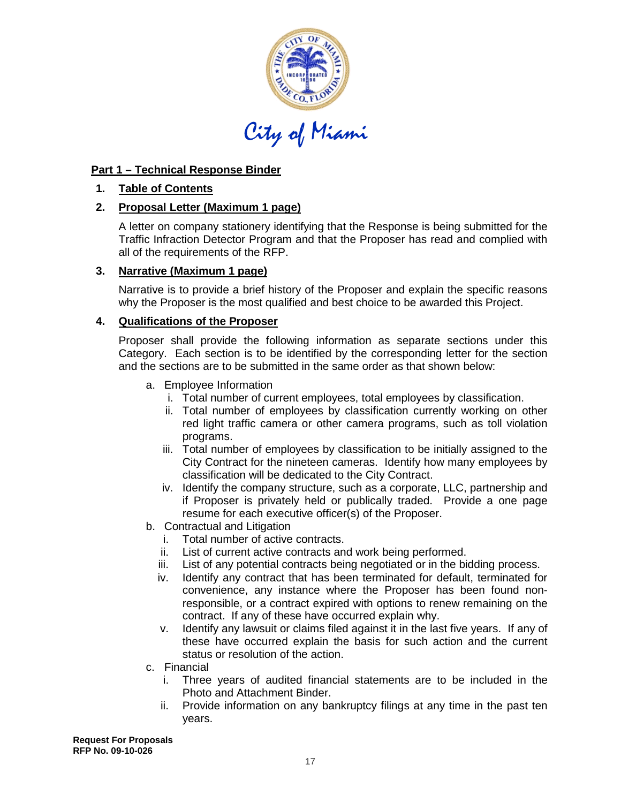

# **Part 1 – Technical Response Binder**

#### **1. Table of Contents**

# **2. Proposal Letter (Maximum 1 page)**

A letter on company stationery identifying that the Response is being submitted for the Traffic Infraction Detector Program and that the Proposer has read and complied with all of the requirements of the RFP.

# **3. Narrative (Maximum 1 page)**

Narrative is to provide a brief history of the Proposer and explain the specific reasons why the Proposer is the most qualified and best choice to be awarded this Project.

#### **4. Qualifications of the Proposer**

Proposer shall provide the following information as separate sections under this Category. Each section is to be identified by the corresponding letter for the section and the sections are to be submitted in the same order as that shown below:

- a. Employee Information
	- i. Total number of current employees, total employees by classification.
	- ii. Total number of employees by classification currently working on other red light traffic camera or other camera programs, such as toll violation programs.
	- iii. Total number of employees by classification to be initially assigned to the City Contract for the nineteen cameras. Identify how many employees by classification will be dedicated to the City Contract.
	- iv. Identify the company structure, such as a corporate, LLC, partnership and if Proposer is privately held or publically traded. Provide a one page resume for each executive officer(s) of the Proposer.
- b. Contractual and Litigation
	- i. Total number of active contracts.
	- ii. List of current active contracts and work being performed.
	- iii. List of any potential contracts being negotiated or in the bidding process.
	- iv. Identify any contract that has been terminated for default, terminated for convenience, any instance where the Proposer has been found nonresponsible, or a contract expired with options to renew remaining on the contract. If any of these have occurred explain why.
	- v. Identify any lawsuit or claims filed against it in the last five years. If any of these have occurred explain the basis for such action and the current status or resolution of the action.
- c. Financial
	- i. Three years of audited financial statements are to be included in the Photo and Attachment Binder.
	- ii. Provide information on any bankruptcy filings at any time in the past ten years.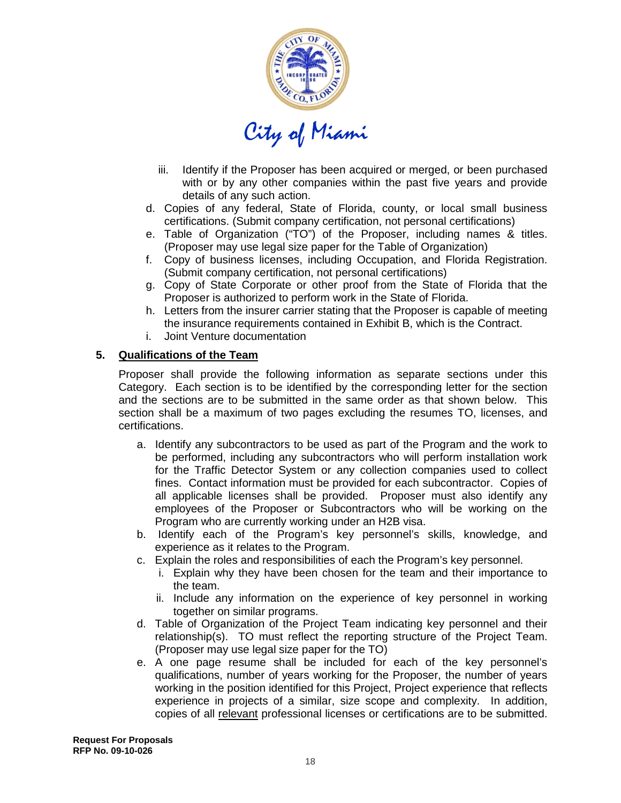

- iii. Identify if the Proposer has been acquired or merged, or been purchased with or by any other companies within the past five years and provide details of any such action.
- d. Copies of any federal, State of Florida, county, or local small business certifications. (Submit company certification, not personal certifications)
- e. Table of Organization ("TO") of the Proposer, including names & titles. (Proposer may use legal size paper for the Table of Organization)
- f. Copy of business licenses, including Occupation, and Florida Registration. (Submit company certification, not personal certifications)
- g. Copy of State Corporate or other proof from the State of Florida that the Proposer is authorized to perform work in the State of Florida.
- h. Letters from the insurer carrier stating that the Proposer is capable of meeting the insurance requirements contained in Exhibit B, which is the Contract.
- i. Joint Venture documentation

#### **5. Qualifications of the Team**

Proposer shall provide the following information as separate sections under this Category. Each section is to be identified by the corresponding letter for the section and the sections are to be submitted in the same order as that shown below. This section shall be a maximum of two pages excluding the resumes TO, licenses, and certifications.

- a. Identify any subcontractors to be used as part of the Program and the work to be performed, including any subcontractors who will perform installation work for the Traffic Detector System or any collection companies used to collect fines. Contact information must be provided for each subcontractor. Copies of all applicable licenses shall be provided. Proposer must also identify any employees of the Proposer or Subcontractors who will be working on the Program who are currently working under an H2B visa.
- b. Identify each of the Program's key personnel's skills, knowledge, and experience as it relates to the Program.
- c. Explain the roles and responsibilities of each the Program's key personnel.
	- i. Explain why they have been chosen for the team and their importance to the team.
	- ii. Include any information on the experience of key personnel in working together on similar programs.
- d. Table of Organization of the Project Team indicating key personnel and their relationship(s). TO must reflect the reporting structure of the Project Team. (Proposer may use legal size paper for the TO)
- e. A one page resume shall be included for each of the key personnel's qualifications, number of years working for the Proposer, the number of years working in the position identified for this Project, Project experience that reflects experience in projects of a similar, size scope and complexity. In addition, copies of all relevant professional licenses or certifications are to be submitted.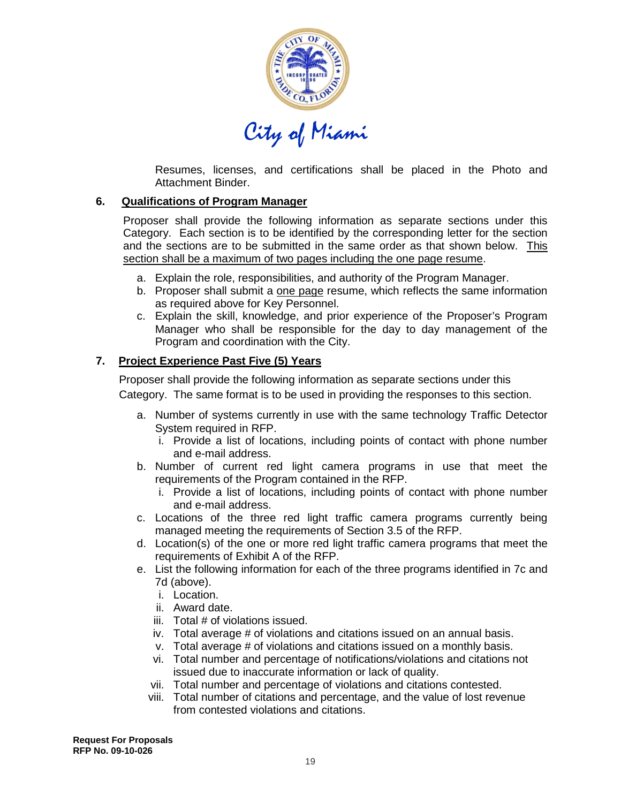

Resumes, licenses, and certifications shall be placed in the Photo and Attachment Binder.

#### **6. Qualifications of Program Manager**

Proposer shall provide the following information as separate sections under this Category. Each section is to be identified by the corresponding letter for the section and the sections are to be submitted in the same order as that shown below. This section shall be a maximum of two pages including the one page resume .

- a. Explain the role, responsibilities, and authority of the Program Manager.
- b. Proposer shall submit a one page resume, which reflects the same information as required above for Key Personnel.
- c. Explain the skill, knowledge, and prior experience of the Proposer's Program Manager who shall be responsible for the day to day management of the Program and coordination with the City.

# **7. Project Experience Past Five (5) Years**

Proposer shall provide the following information as separate sections under this Category. The same format is to be used in providing the responses to this section.

- a. Number of systems currently in use with the same technology Traffic Detector System required in RFP.
	- i. Provide a list of locations, including points of contact with phone number and e-mail address.
- b. Number of current red light camera programs in use that meet the requirements of the Program contained in the RFP.
	- i. Provide a list of locations, including points of contact with phone number and e-mail address.
- c. Locations of the three red light traffic camera programs currently being managed meeting the requirements of Section 3.5 of the RFP.
- d. Location(s) of the one or more red light traffic camera programs that meet the requirements of Exhibit A of the RFP.
- e. List the following information for each of the three programs identified in 7c and 7d (above).
	- i. Location.
	- ii. Award date.
	- iii. Total # of violations issued.
	- iv. Total average # of violations and citations issued on an annual basis.
	- v. Total average # of violations and citations issued on a monthly basis.
	- vi. Total number and percentage of notifications/violations and citations not issued due to inaccurate information or lack of quality.
	- vii. Total number and percentage of violations and citations contested.
	- viii. Total number of citations and percentage, and the value of lost revenue from contested violations and citations.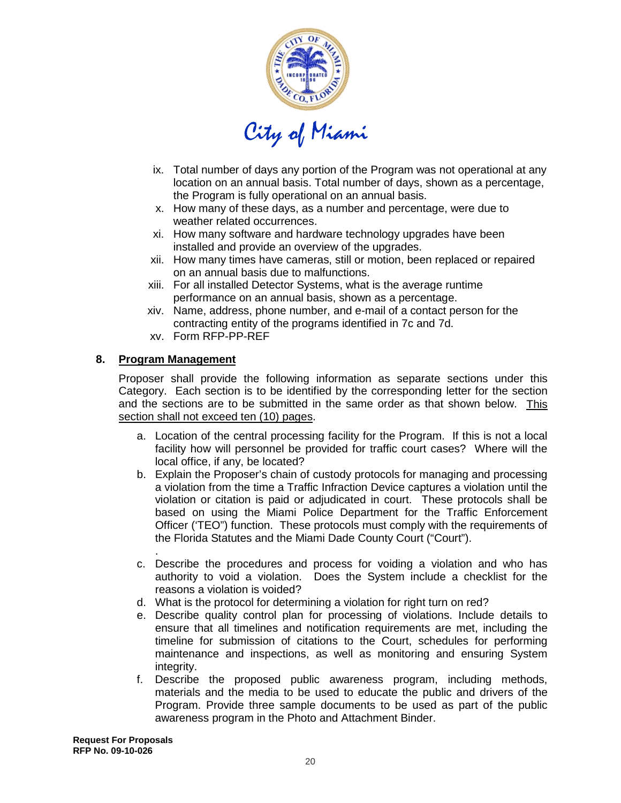

- ix. Total number of days any portion of the Program was not operational at any location on an annual basis. Total number of days, shown as a percentage, the Program is fully operational on an annual basis.
- x. How many of these days, as a number and percentage, were due to weather related occurrences.
- xi. How many software and hardware technology upgrades have been installed and provide an overview of the upgrades.
- xii. How many times have cameras, still or motion, been replaced or repaired on an annual basis due to malfunctions.
- xiii. For all installed Detector Systems, what is the average runtime performance on an annual basis, shown as a percentage.
- xiv. Name, address, phone number, and e-mail of a contact person for the contracting entity of the programs identified in 7c and 7d.
- xv. Form RFP-PP-REF

#### **8. Program Management**

Proposer shall provide the following information as separate sections under this Category. Each section is to be identified by the corresponding letter for the section and the sections are to be submitted in the same order as that shown below. This section shall not exceed ten (10) pages .

- a. Location of the central processing facility for the Program. If this is not a local facility how will personnel be provided for traffic court cases? Where will the local office, if any, be located?
- b. Explain the Proposer's chain of custody protocols for managing and processing a violation from the time a Traffic Infraction Device captures a violation until the violation or citation is paid or adjudicated in court. These protocols shall be based on using the Miami Police Department for the Traffic Enforcement Officer ('TEO") function. These protocols must comply with the requirements of the Florida Statutes and the Miami Dade County Court ("Court").
- . c. Describe the procedures and process for voiding a violation and who has authority to void a violation. Does the System include a checklist for the reasons a violation is voided?
- d. What is the protocol for determining a violation for right turn on red?
- e. Describe quality control plan for processing of violations. Include details to ensure that all timelines and notification requirements are met, including the timeline for submission of citations to the Court, schedules for performing maintenance and inspections, as well as monitoring and ensuring System integrity.
- f. Describe the proposed public awareness program, including methods, materials and the media to be used to educate the public and drivers of the Program. Provide three sample documents to be used as part of the public awareness program in the Photo and Attachment Binder.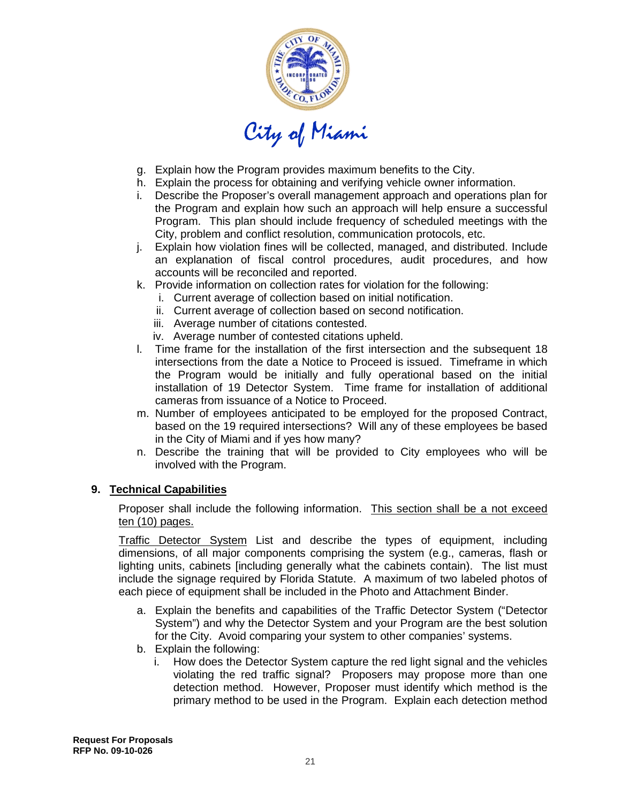

- g. Explain how the Program provides maximum benefits to the City.
- h. Explain the process for obtaining and verifying vehicle owner information.
- i. Describe the Proposer's overall management approach and operations plan for the Program and explain how such an approach will help ensure a successful Program. This plan should include frequency of scheduled meetings with the City, problem and conflict resolution, communication protocols, etc.
- j. Explain how violation fines will be collected, managed, and distributed. Include an explanation of fiscal control procedures, audit procedures, and how accounts will be reconciled and reported.
- k. Provide information on collection rates for violation for the following:
	- i. Current average of collection based on initial notification.
	- ii. Current average of collection based on second notification.
	- iii. Average number of citations contested.
	- iv. Average number of contested citations upheld.
- l. Time frame for the installation of the first intersection and the subsequent 18 intersections from the date a Notice to Proceed is issued. Timeframe in which the Program would be initially and fully operational based on the initial installation of 19 Detector System. Time frame for installation of additional cameras from issuance of a Notice to Proceed.
- m. Number of employees anticipated to be employed for the proposed Contract, based on the 19 required intersections? Will any of these employees be based in the City of Miami and if yes how many?
- n. Describe the training that will be provided to City employees who will be involved with the Program.

#### **9. Technical Capabilities**

Proposer shall include the following information. This section shall be a not exceed ten (10) pages.

Traffic Detector System List and describe the types of equipment, including dimensions, of all major components comprising the system (e.g., cameras, flash or lighting units, cabinets [including generally what the cabinets contain). The list must include the signage required by Florida Statute. A maximum of two labeled photos of each piece of equipment shall be included in the Photo and Attachment Binder.

- a. Explain the benefits and capabilities of the Traffic Detector System ("Detector System") and why the Detector System and your Program are the best solution for the City. Avoid comparing your system to other companies' systems.
- b. Explain the following:
	- i. How does the Detector System capture the red light signal and the vehicles violating the red traffic signal? Proposers may propose more than one detection method. However, Proposer must identify which method is the primary method to be used in the Program. Explain each detection method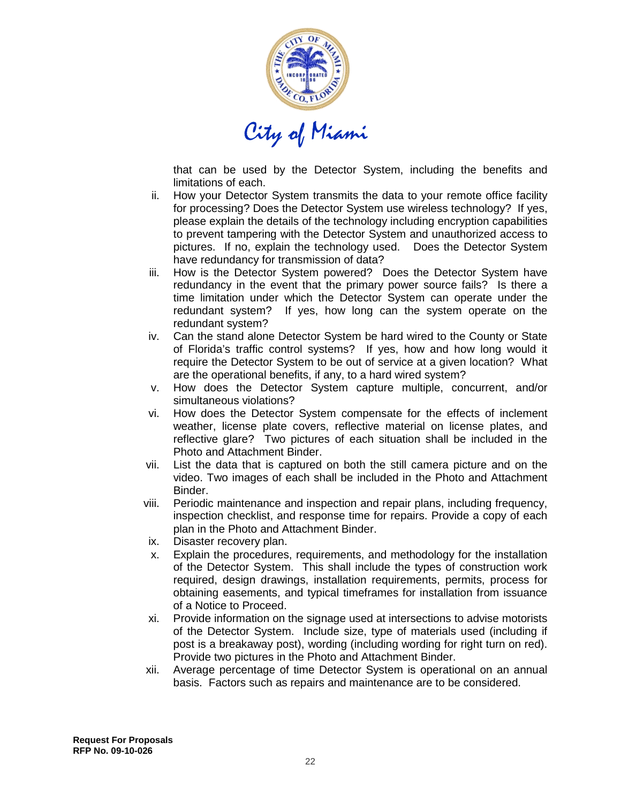

that can be used by the Detector System, including the benefits and limitations of each.

- ii. How your Detector System transmits the data to your remote office facility for processing? Does the Detector System use wireless technology? If yes, please explain the details of the technology including encryption capabilities to prevent tampering with the Detector System and unauthorized access to pictures. If no, explain the technology used. Does the Detector System have redundancy for transmission of data?
- iii. How is the Detector System powered? Does the Detector System have redundancy in the event that the primary power source fails? Is there a time limitation under which the Detector System can operate under the redundant system? If yes, how long can the system operate on the redundant system?
- iv. Can the stand alone Detector System be hard wired to the County or State of Florida's traffic control systems? If yes, how and how long would it require the Detector System to be out of service at a given location? What are the operational benefits, if any, to a hard wired system?
- v. How does the Detector System capture multiple, concurrent, and/or simultaneous violations?
- vi. How does the Detector System compensate for the effects of inclement weather, license plate covers, reflective material on license plates, and reflective glare? Two pictures of each situation shall be included in the Photo and Attachment Binder.
- vii. List the data that is captured on both the still camera picture and on the video. Two images of each shall be included in the Photo and Attachment Binder.
- viii. Periodic maintenance and inspection and repair plans, including frequency, inspection checklist, and response time for repairs. Provide a copy of each plan in the Photo and Attachment Binder.
- ix. Disaster recovery plan.
- x. Explain the procedures, requirements, and methodology for the installation of the Detector System. This shall include the types of construction work required, design drawings, installation requirements, permits, process for obtaining easements, and typical timeframes for installation from issuance of a Notice to Proceed.
- xi. Provide information on the signage used at intersections to advise motorists of the Detector System. Include size, type of materials used (including if post is a breakaway post), wording (including wording for right turn on red). Provide two pictures in the Photo and Attachment Binder.
- xii. Average percentage of time Detector System is operational on an annual basis. Factors such as repairs and maintenance are to be considered.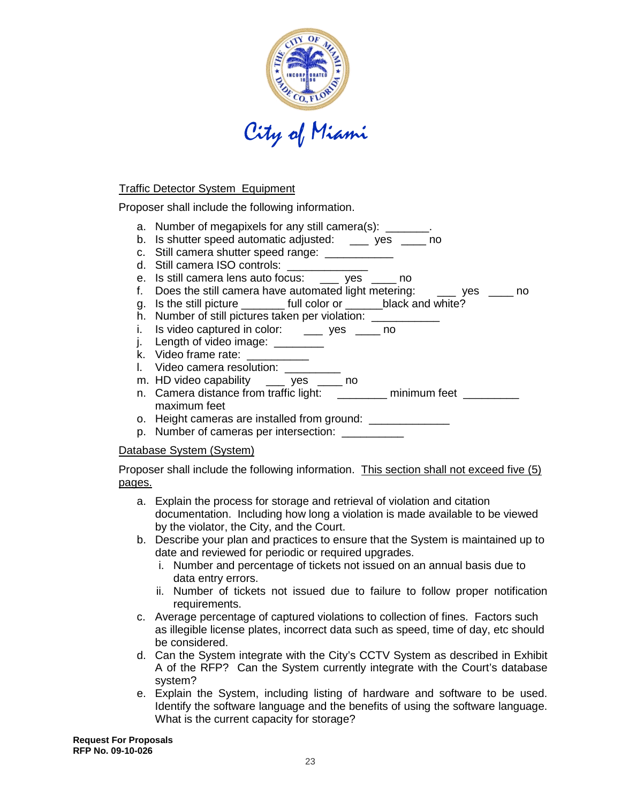

#### Traffic Detector System Equipment

Proposer shall include the following information.

- a. Number of megapixels for any still camera(s): \_\_\_\_\_\_
- b. Is shutter speed automatic adjusted: \_\_\_ yes \_\_\_ no
- c. Still camera shutter speed range: \_\_\_\_\_\_\_\_\_\_\_\_
- d. Still camera ISO controls: \_\_\_\_\_\_\_\_\_\_\_
- e. Is still camera lens auto focus: \_\_\_ yes \_\_\_ no
- f. Does the still camera have automated light metering: \_\_\_ yes \_\_\_\_ no
- g. Is the still picture \_\_\_\_\_\_\_ full color or \_\_\_\_\_\_black and white?
- h. Number of still pictures taken per violation: \_\_\_\_\_\_\_\_
- i. Is video captured in color: \_\_\_\_ yes \_\_\_\_ no
- j. Length of video image: \_\_\_\_\_\_\_\_
- k. Video frame rate: \_\_\_\_\_
- l. Video camera resolution:
- m. HD video capability \_\_\_ yes \_\_\_ no n. Camera distance from traffic light: \_\_\_\_\_\_\_\_ minimum feet \_\_\_\_\_\_\_\_
- maximum feet
- o. Height cameras are installed from ground:
- p. Number of cameras per intersection: \_\_\_\_\_\_\_\_\_\_\_

#### Database System (System)

Proposer shall include the following information. This section shall not exceed five (5) pages.

- a. Explain the process for storage and retrieval of violation and citation documentation. Including how long a violation is made available to be viewed by the violator, the City, and the Court.
- b. Describe your plan and practices to ensure that the System is maintained up to date and reviewed for periodic or required upgrades.
	- i. Number and percentage of tickets not issued on an annual basis due to data entry errors.
	- ii. Number of tickets not issued due to failure to follow proper notification requirements.
- c. Average percentage of captured violations to collection of fines. Factors such as illegible license plates, incorrect data such as speed, time of day, etc should be considered.
- d. Can the System integrate with the City's CCTV System as described in Exhibit A of the RFP? Can the System currently integrate with the Court's database system?
- e. Explain the System, including listing of hardware and software to be used. Identify the software language and the benefits of using the software language. What is the current capacity for storage?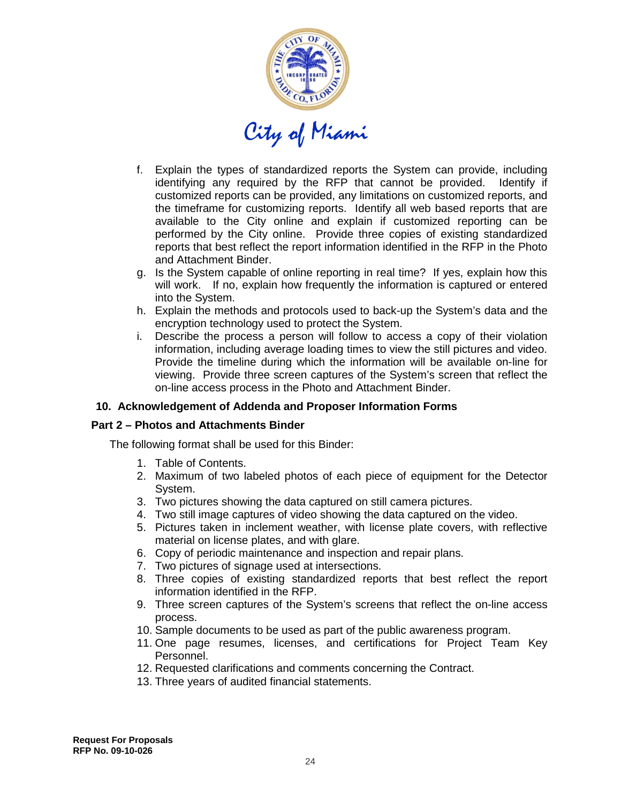

- f. Explain the types of standardized reports the System can provide, including identifying any required by the RFP that cannot be provided. Identify if customized reports can be provided, any limitations on customized reports, and the timeframe for customizing reports. Identify all web based reports that are available to the City online and explain if customized reporting can be performed by the City online. Provide three copies of existing standardized reports that best reflect the report information identified in the RFP in the Photo and Attachment Binder.
- g. Is the System capable of online reporting in real time? If yes, explain how this will work. If no, explain how frequently the information is captured or entered into the System.
- h. Explain the methods and protocols used to back-up the System's data and the encryption technology used to protect the System.
- i. Describe the process a person will follow to access a copy of their violation information, including average loading times to view the still pictures and video. Provide the timeline during which the information will be available on-line for viewing. Provide three screen captures of the System's screen that reflect the on-line access process in the Photo and Attachment Binder.

#### **10. Acknowledgement of Addenda and Proposer Information Forms**

#### **Part 2 – Photos and Attachments Binder**

The following format shall be used for this Binder:

- 1. Table of Contents.
- 2. Maximum of two labeled photos of each piece of equipment for the Detector System.
- 3. Two pictures showing the data captured on still camera pictures.
- 4. Two still image captures of video showing the data captured on the video.
- 5. Pictures taken in inclement weather, with license plate covers, with reflective material on license plates, and with glare.
- 6. Copy of periodic maintenance and inspection and repair plans.
- 7. Two pictures of signage used at intersections.
- 8. Three copies of existing standardized reports that best reflect the report information identified in the RFP.
- 9. Three screen captures of the System's screens that reflect the on-line access process.
- 10. Sample documents to be used as part of the public awareness program.
- 11. One page resumes, licenses, and certifications for Project Team Key Personnel.
- 12. Requested clarifications and comments concerning the Contract.
- 13. Three years of audited financial statements.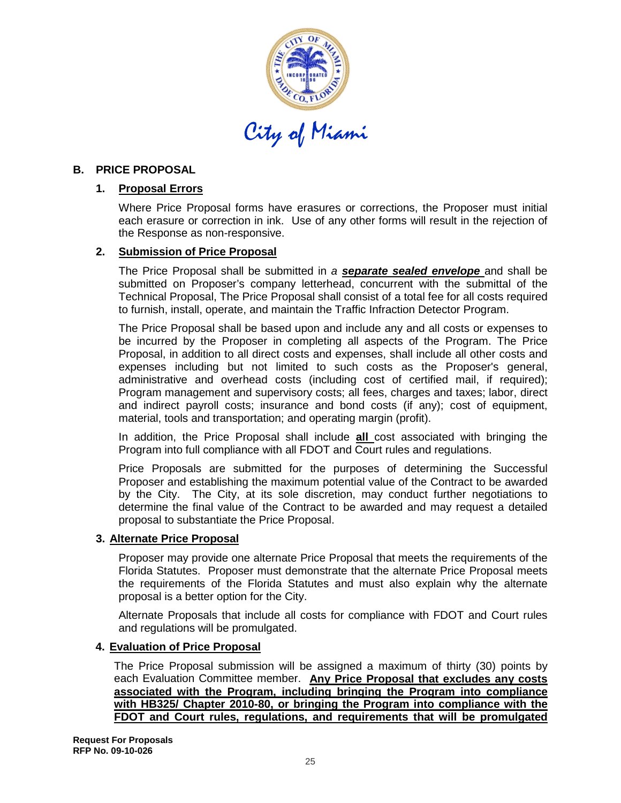

#### **B. PRICE PROPOSAL**

# **1. Proposal Errors**

Where Price Proposal forms have erasures or corrections, the Proposer must initial each erasure or correction in ink. Use of any other forms will result in the rejection of the Response as non-responsive.

# **2. Submission of Price Proposal**

The Price Proposal shall be submitted in *a separate sealed envelope* and shall be submitted on Proposer's company letterhead, concurrent with the submittal of the Technical Proposal, The Price Proposal shall consist of a total fee for all costs required to furnish, install, operate, and maintain the Traffic Infraction Detector Program.

The Price Proposal shall be based upon and include any and all costs or expenses to be incurred by the Proposer in completing all aspects of the Program. The Price Proposal, in addition to all direct costs and expenses, shall include all other costs and expenses including but not limited to such costs as the Proposer's general, administrative and overhead costs (including cost of certified mail, if required); Program management and supervisory costs; all fees, charges and taxes; labor, direct and indirect payroll costs; insurance and bond costs (if any); cost of equipment, material, tools and transportation; and operating margin (profit).

In addition, the Price Proposal shall include **all** cost associated with bringing the Program into full compliance with all FDOT and Court rules and regulations.

Price Proposals are submitted for the purposes of determining the Successful Proposer and establishing the maximum potential value of the Contract to be awarded by the City. The City, at its sole discretion, may conduct further negotiations to determine the final value of the Contract to be awarded and may request a detailed proposal to substantiate the Price Proposal.

#### **3. Alternate Price Proposal**

Proposer may provide one alternate Price Proposal that meets the requirements of the Florida Statutes. Proposer must demonstrate that the alternate Price Proposal meets the requirements of the Florida Statutes and must also explain why the alternate proposal is a better option for the City.

Alternate Proposals that include all costs for compliance with FDOT and Court rules and regulations will be promulgated.

#### **4. Evaluation of Price Proposal**

The Price Proposal submission will be assigned a maximum of thirty (30) points by each Evaluation Committee member. **Any Price Proposal that excludes any costs associated with the Program, including bringing the Program into compliance with HB325/ Chapter 2010-80, or bringing the Program into compliance with the FDOT and Court rules, regulations, and requirements that will be promulgated**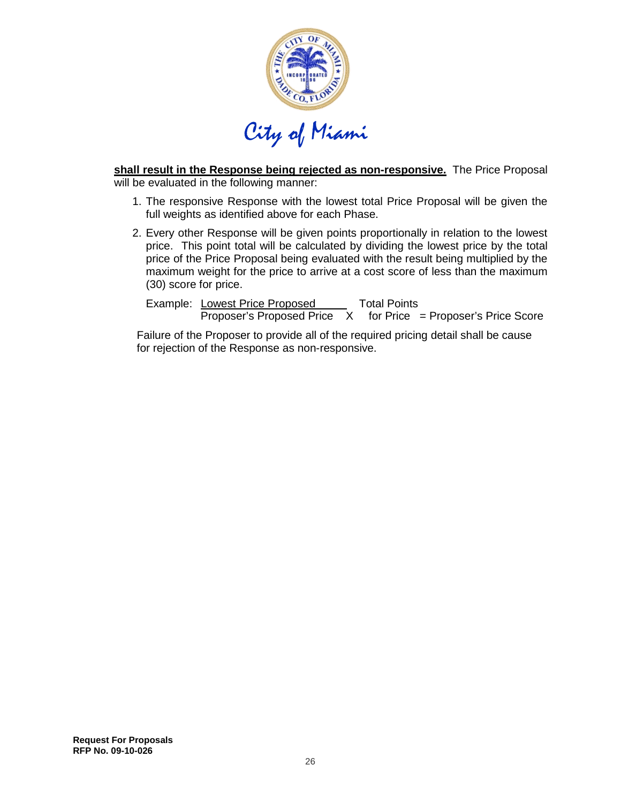

**shall result in the Response being rejected as non-responsive.** The Price Proposal will be evaluated in the following manner:

- 1. The responsive Response with the lowest total Price Proposal will be given the full weights as identified above for each Phase.
- 2. Every other Response will be given points proportionally in relation to the lowest price. This point total will be calculated by dividing the lowest price by the total price of the Price Proposal being evaluated with the result being multiplied by the maximum weight for the price to arrive at a cost score of less than the maximum (30) score for price.

Example: Lowest Price Proposed  $\overline{\text{Proposer's Proposed Price}}$  X for Price = Proposer's Price Score Total Points

Failure of the Proposer to provide all of the required pricing detail shall be cause for rejection of the Response as non-responsive.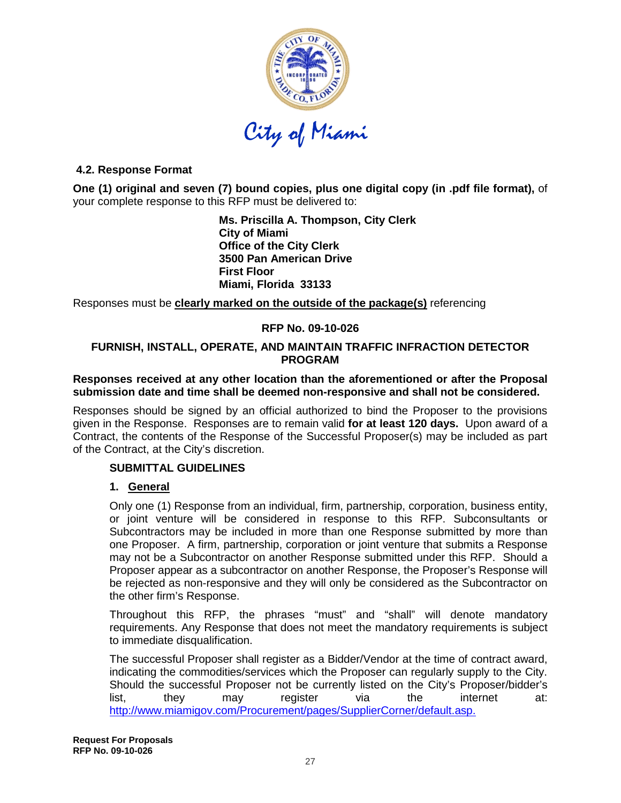

# **4.2. Response Format**

**One (1) original and seven (7) bound copies, plus one digital copy (in .pdf file format),** of your complete response to this RFP must be delivered to:

> **Ms. Priscilla A. Thompson, City Clerk City of Miami Office of the City Clerk 3500 Pan American Drive First Floor Miami, Florida 33133**

Responses must be **clearly marked on the outside of the package(s)** referencing

#### **RFP No. 09-10-026**

#### **FURNISH, INSTALL, OPERATE, AND MAINTAIN TRAFFIC INFRACTION DETECTOR PROGRAM**

#### **Responses received at any other location than the aforementioned or after the Proposal submission date and time shall be deemed non-responsive and shall not be considered.**

Responses should be signed by an official authorized to bind the Proposer to the provisions given in the Response. Responses are to remain valid **for at least 120 days.** Upon award of a Contract, the contents of the Response of the Successful Proposer(s) may be included as part of the Contract, at the City's discretion.

#### **SUBMITTAL GUIDELINES**

#### **1. General**

Only one (1) Response from an individual, firm, partnership, corporation, business entity, or joint venture will be considered in response to this RFP. Subconsultants or Subcontractors may be included in more than one Response submitted by more than one Proposer. A firm, partnership, corporation or joint venture that submits a Response may not be a Subcontractor on another Response submitted under this RFP. Should a Proposer appear as a subcontractor on another Response, the Proposer's Response will be rejected as non-responsive and they will only be considered as the Subcontractor on the other firm's Response.

Throughout this RFP, the phrases "must" and "shall" will denote mandatory requirements. Any Response that does not meet the mandatory requirements is subject to immediate disqualification.

The successful Proposer shall register as a Bidder/Vendor at the time of contract award, indicating the commodities/services which the Proposer can regularly supply to the City. Should the successful Proposer not be currently listed on the City's Proposer/bidder's list, they may register via the internet at: [http://www.miamigov.com/Procurement/pages/SupplierCorner/default.asp.](http://www.miamigov.com/Procurement/pages/SupplierCorner/default.asp)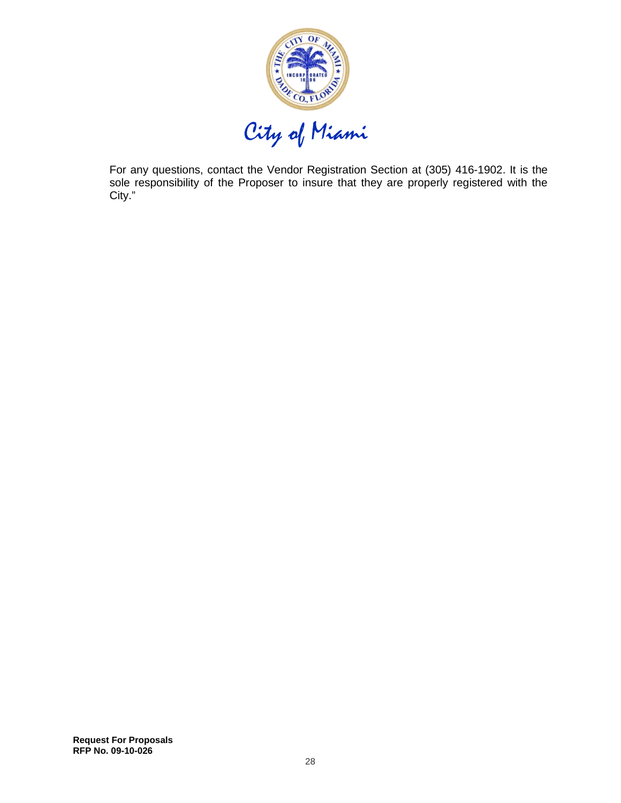

For any questions, contact the Vendor Registration Section at (305) 416-1902. It is the sole responsibility of the Proposer to insure that they are properly registered with the City."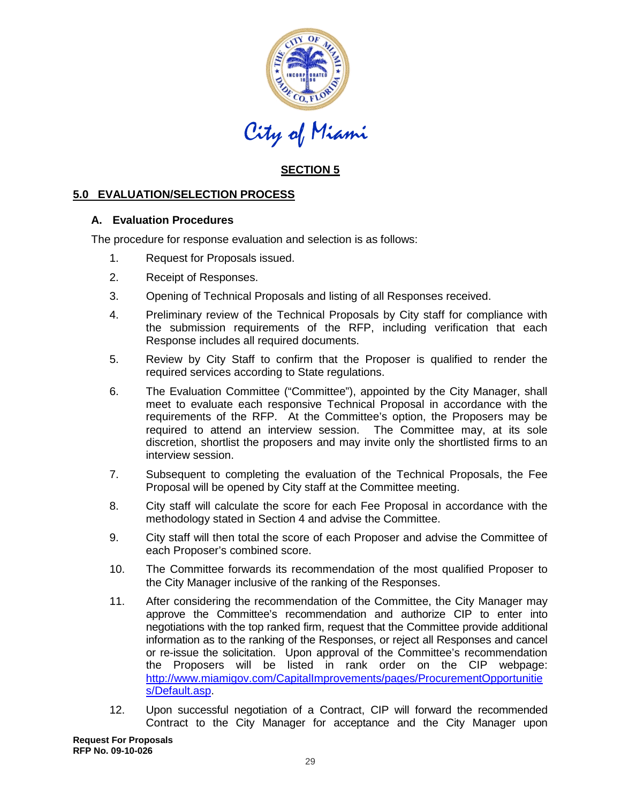

# **SECTION 5**

# **5.0 EVALUATION/SELECTION PROCESS**

#### **A. Evaluation Procedures**

The procedure for response evaluation and selection is as follows:

- 1. Request for Proposals issued.
- 2. Receipt of Responses.
- 3. Opening of Technical Proposals and listing of all Responses received.
- 4. Preliminary review of the Technical Proposals by City staff for compliance with the submission requirements of the RFP, including verification that each Response includes all required documents.
- 5. Review by City Staff to confirm that the Proposer is qualified to render the required services according to State regulations.
- 6. The Evaluation Committee ("Committee"), appointed by the City Manager, shall meet to evaluate each responsive Technical Proposal in accordance with the requirements of the RFP. At the Committee's option, the Proposers may be required to attend an interview session. The Committee may, at its sole discretion, shortlist the proposers and may invite only the shortlisted firms to an interview session.
- 7. Subsequent to completing the evaluation of the Technical Proposals, the Fee Proposal will be opened by City staff at the Committee meeting.
- 8. City staff will calculate the score for each Fee Proposal in accordance with the methodology stated in Section 4 and advise the Committee.
- 9. City staff will then total the score of each Proposer and advise the Committee of each Proposer's combined score.
- 10. The Committee forwards its recommendation of the most qualified Proposer to the City Manager inclusive of the ranking of the Responses.
- 11. After considering the recommendation of the Committee, the City Manager may approve the Committee's recommendation and authorize CIP to enter into negotiations with the top ranked firm, request that the Committee provide additional information as to the ranking of the Responses, or reject all Responses and cancel or re-issue the solicitation. Upon approval of the Committee's recommendation the Proposers will be listed in rank order on the CIP webpage: [http://www.miamigov.com/CapitalImprovements/pages/ProcurementOpportunitie](http://www.miamigov.com/CapitalImprovements/pages/ProcurementOpportunities/Default.asp) [s/Default.asp.](http://www.miamigov.com/CapitalImprovements/pages/ProcurementOpportunities/Default.asp)
- 12. Upon successful negotiation of a Contract, CIP will forward the recommended Contract to the City Manager for acceptance and the City Manager upon

**Request For Proposals RFP No. 09-10-026**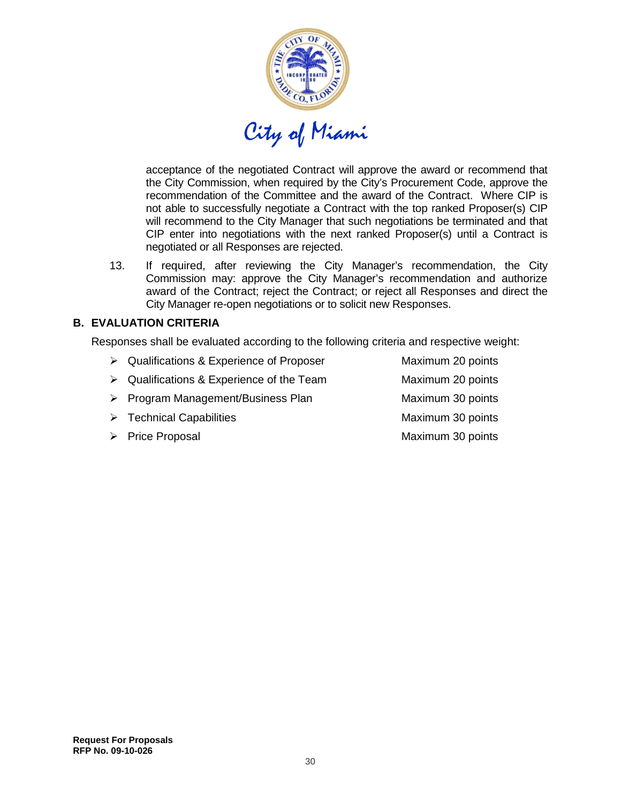

acceptance of the negotiated Contract will approve the award or recommend that the City Commission, when required by the City's Procurement Code, approve the recommendation of the Committee and the award of the Contract. Where CIP is not able to successfully negotiate a Contract with the top ranked Proposer(s) CIP will recommend to the City Manager that such negotiations be terminated and that CIP enter into negotiations with the next ranked Proposer(s) until a Contract is negotiated or all Responses are rejected.

13. If required, after reviewing the City Manager's recommendation, the City Commission may: approve the City Manager's recommendation and authorize award of the Contract; reject the Contract; or reject all Responses and direct the City Manager re-open negotiations or to solicit new Responses.

#### **B. EVALUATION CRITERIA**

Responses shall be evaluated according to the following criteria and respective weight:

- ▶ Qualifications & Experience of Proposer Maximum 20 points > Qualifications & Experience of the Team Maximum 20 points ▶ Program Management/Business Plan Maximum 30 points > Technical Capabilities Maximum 30 points
- ▶ Price Proposal and The Maximum 30 points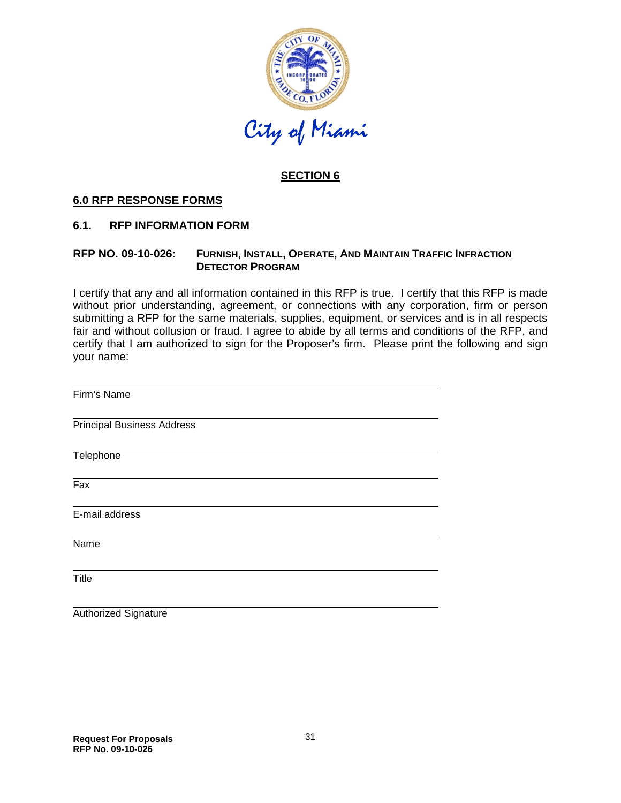

# **SECTION 6**

#### **6.0 RFP RESPONSE FORMS**

#### **6.1. RFP INFORMATION FORM**

#### **RFP NO. 09-10-026: FURNISH, INSTALL, OPERATE, AND MAINTAIN TRAFFIC INFRACTION DETECTOR PROGRAM**

I certify that any and all information contained in this RFP is true. I certify that this RFP is made without prior understanding, agreement, or connections with any corporation, firm or person submitting a RFP for the same materials, supplies, equipment, or services and is in all respects fair and without collusion or fraud. I agree to abide by all terms and conditions of the RFP, and certify that I am authorized to sign for the Proposer's firm. Please print the following and sign your name:

| Firm's Name                       |  |
|-----------------------------------|--|
| <b>Principal Business Address</b> |  |
| Telephone                         |  |
| Fax                               |  |
| E-mail address                    |  |
| Name                              |  |
| Title                             |  |
| Authorized Signature              |  |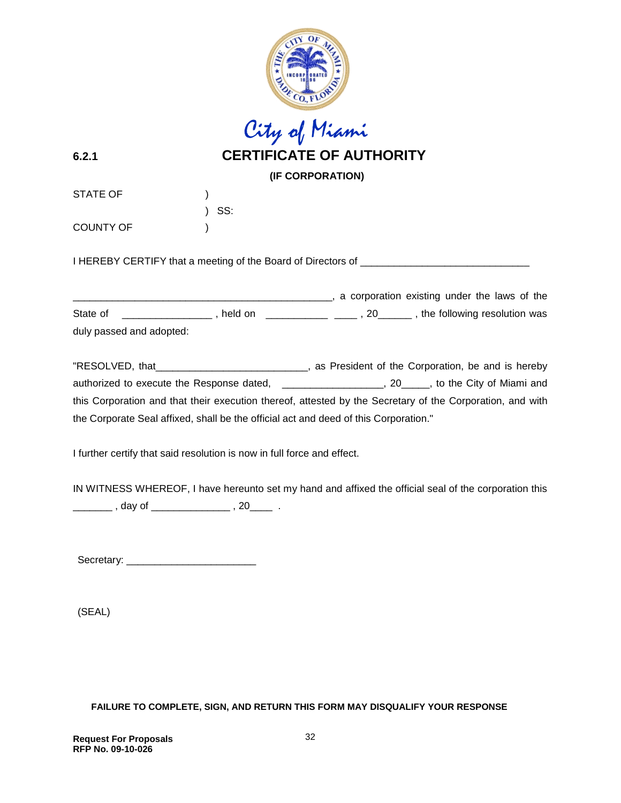

"RESOLVED, that \_\_\_\_\_\_\_\_\_\_\_\_\_\_\_\_\_\_\_\_\_\_\_\_\_\_\_, as President of the Corporation, be and is hereby authorized to execute the Response dated, \_\_\_\_\_\_\_\_\_\_\_\_\_\_\_\_\_\_\_, 20\_\_\_\_\_, to the City of Miami and this Corporation and that their execution thereof, attested by the Secretary of the Corporation, and with the Corporate Seal affixed, shall be the official act and deed of this Corporation."

I further certify that said resolution is now in full force and effect.

IN WITNESS WHEREOF, I have hereunto set my hand and affixed the official seal of the corporation this \_\_\_\_\_\_\_\_\_ , day of \_\_\_\_\_\_\_\_\_\_\_\_\_\_\_\_ , 20\_\_\_\_\_ .

Secretary: \_\_\_\_\_\_\_\_\_\_\_\_\_\_\_\_\_\_\_\_\_\_\_

(SEAL)

**FAILURE TO COMPLETE, SIGN, AND RETURN THIS FORM MAY DISQUALIFY YOUR RESPONSE**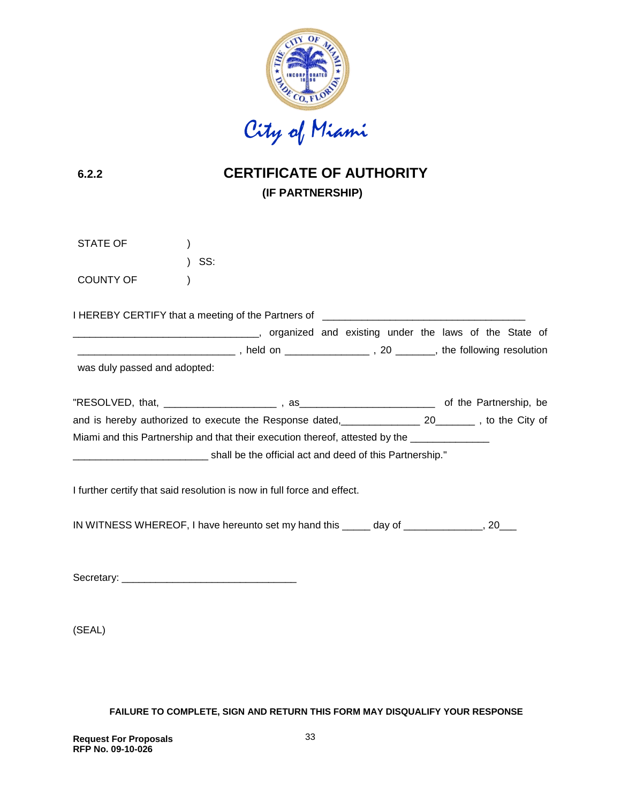

# **6.2.2 CERTIFICATE OF AUTHORITY (IF PARTNERSHIP)**

| STATE OF                                                                                             | SS: |  |  |  |
|------------------------------------------------------------------------------------------------------|-----|--|--|--|
| <b>COUNTY OF</b>                                                                                     |     |  |  |  |
| I HEREBY CERTIFY that a meeting of the Partners of _____________________________                     |     |  |  |  |
| was duly passed and adopted:                                                                         |     |  |  |  |
|                                                                                                      |     |  |  |  |
| and is hereby authorized to execute the Response dated, 100 manual 20 manual , to the City of        |     |  |  |  |
| Miami and this Partnership and that their execution thereof, attested by the _______________________ |     |  |  |  |
|                                                                                                      |     |  |  |  |
| I further certify that said resolution is now in full force and effect.                              |     |  |  |  |
| IN WITNESS WHEREOF, I have hereunto set my hand this _____ day of _____________, 20___               |     |  |  |  |
|                                                                                                      |     |  |  |  |

(SEAL)

**FAILURE TO COMPLETE, SIGN AND RETURN THIS FORM MAY DISQUALIFY YOUR RESPONSE**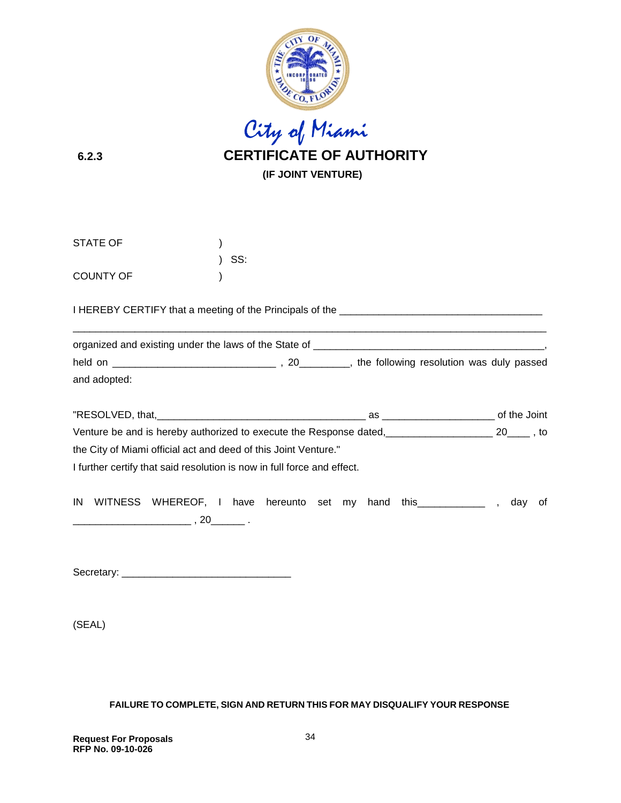

 City of Miami **6.2.3 CERTIFICATE OF AUTHORITY (IF JOINT VENTURE)**

| STATE OF         |                                                                                              |     |  |  |  |  |    |
|------------------|----------------------------------------------------------------------------------------------|-----|--|--|--|--|----|
| <b>COUNTY OF</b> |                                                                                              | SS: |  |  |  |  |    |
|                  |                                                                                              |     |  |  |  |  |    |
|                  |                                                                                              |     |  |  |  |  |    |
|                  |                                                                                              |     |  |  |  |  |    |
| and adopted:     |                                                                                              |     |  |  |  |  |    |
|                  |                                                                                              |     |  |  |  |  |    |
|                  | Venture be and is hereby authorized to execute the Response dated, 100 million 20 million 10 |     |  |  |  |  |    |
|                  | the City of Miami official act and deed of this Joint Venture."                              |     |  |  |  |  |    |
|                  | I further certify that said resolution is now in full force and effect.                      |     |  |  |  |  |    |
|                  | IN WITNESS WHEREOF, I have hereunto set my hand this ____________, day                       |     |  |  |  |  | οt |

Secretary: \_\_\_\_\_\_\_\_\_\_\_\_\_\_\_\_\_\_\_\_\_\_\_\_\_\_\_\_\_\_

(SEAL)

#### **FAILURE TO COMPLETE, SIGN AND RETURN THIS FOR MAY DISQUALIFY YOUR RESPONSE**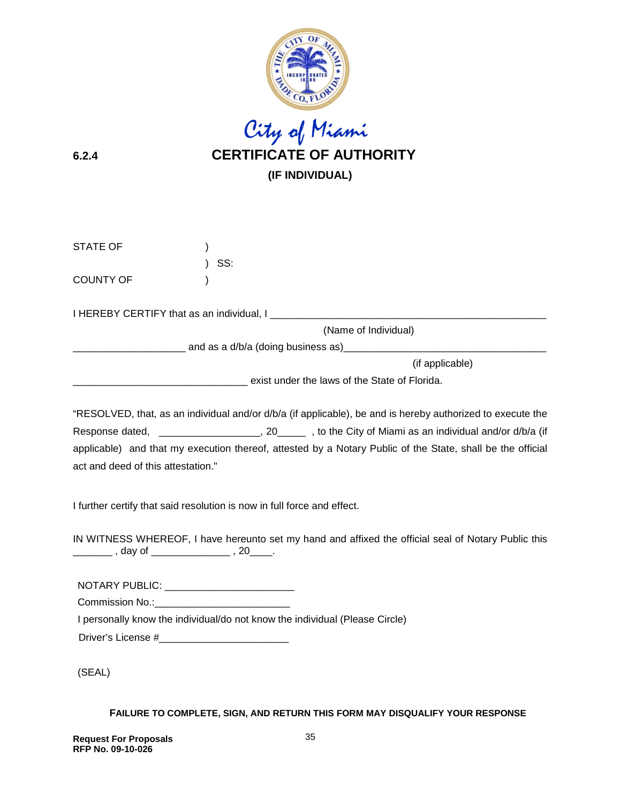

# City of Miami **6.2.4 CERTIFICATE OF AUTHORITY (IF INDIVIDUAL)**

| <b>STATE OF</b>                               |                                                                                                                                                                                                                                                                                                                                        |                 |
|-----------------------------------------------|----------------------------------------------------------------------------------------------------------------------------------------------------------------------------------------------------------------------------------------------------------------------------------------------------------------------------------------|-----------------|
| <b>COUNTY OF</b>                              | SS:                                                                                                                                                                                                                                                                                                                                    |                 |
|                                               |                                                                                                                                                                                                                                                                                                                                        |                 |
|                                               | (Name of Individual)                                                                                                                                                                                                                                                                                                                   |                 |
|                                               |                                                                                                                                                                                                                                                                                                                                        |                 |
|                                               |                                                                                                                                                                                                                                                                                                                                        | (if applicable) |
|                                               | exist under the laws of the State of Florida.                                                                                                                                                                                                                                                                                          |                 |
| act and deed of this attestation."            | "RESOLVED, that, as an individual and/or d/b/a (if applicable), be and is hereby authorized to execute the<br>Response dated, ______________________, 20________, to the City of Miami as an individual and/or d/b/a (if<br>applicable) and that my execution thereof, attested by a Notary Public of the State, shall be the official |                 |
|                                               | I further certify that said resolution is now in full force and effect.                                                                                                                                                                                                                                                                |                 |
| _________ , day of ________________ , 20____. | IN WITNESS WHEREOF, I have hereunto set my hand and affixed the official seal of Notary Public this                                                                                                                                                                                                                                    |                 |

NOTARY PUBLIC: \_\_\_\_\_\_\_\_\_\_\_\_\_\_\_\_\_\_\_\_\_\_\_

Commission No.:\_\_\_\_\_\_\_\_\_\_\_\_\_\_\_\_\_\_\_\_\_\_\_\_

I personally know the individual/do not know the individual (Please Circle)

Driver's License #\_\_\_\_\_\_\_\_\_\_\_\_\_\_\_\_\_\_\_\_\_\_\_

(SEAL)

**FAILURE TO COMPLETE, SIGN, AND RETURN THIS FORM MAY DISQUALIFY YOUR RESPONSE**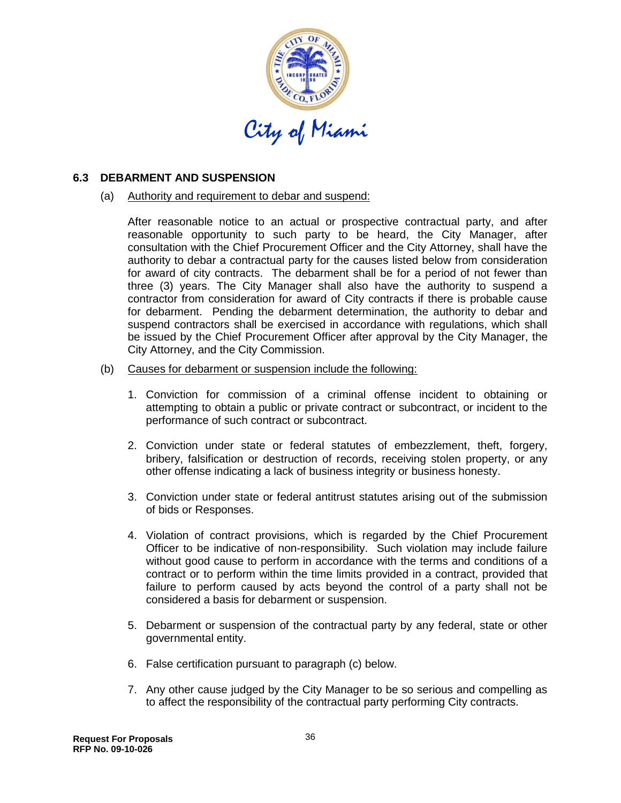

#### **6.3 DEBARMENT AND SUSPENSION**

(a) Authority and requirement to debar and suspend:

After reasonable notice to an actual or prospective contractual party, and after reasonable opportunity to such party to be heard, the City Manager, after consultation with the Chief Procurement Officer and the City Attorney, shall have the authority to debar a contractual party for the causes listed below from consideration for award of city contracts. The debarment shall be for a period of not fewer than three (3) years. The City Manager shall also have the authority to suspend a contractor from consideration for award of City contracts if there is probable cause for debarment. Pending the debarment determination, the authority to debar and suspend contractors shall be exercised in accordance with regulations, which shall be issued by the Chief Procurement Officer after approval by the City Manager, the City Attorney, and the City Commission.

- (b) Causes for debarment or suspension include the following:
	- 1. Conviction for commission of a criminal offense incident to obtaining or attempting to obtain a public or private contract or subcontract, or incident to the performance of such contract or subcontract.
	- 2. Conviction under state or federal statutes of embezzlement, theft, forgery, bribery, falsification or destruction of records, receiving stolen property, or any other offense indicating a lack of business integrity or business honesty.
	- 3. Conviction under state or federal antitrust statutes arising out of the submission of bids or Responses.
	- 4. Violation of contract provisions, which is regarded by the Chief Procurement Officer to be indicative of non-responsibility. Such violation may include failure without good cause to perform in accordance with the terms and conditions of a contract or to perform within the time limits provided in a contract, provided that failure to perform caused by acts beyond the control of a party shall not be considered a basis for debarment or suspension.
	- 5. Debarment or suspension of the contractual party by any federal, state or other governmental entity.
	- 6. False certification pursuant to paragraph (c) below.
	- 7. Any other cause judged by the City Manager to be so serious and compelling as to affect the responsibility of the contractual party performing City contracts.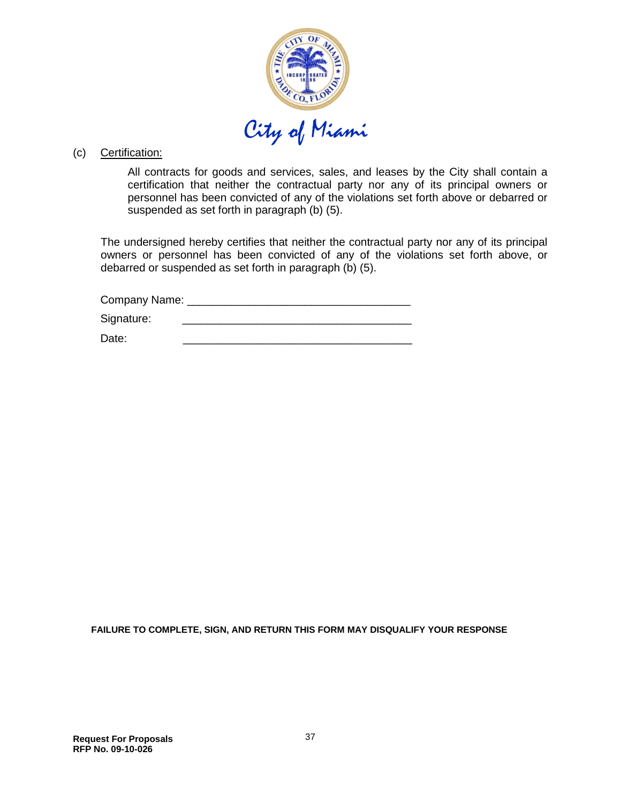

#### (c) Certification:

All contracts for goods and services, sales, and leases by the City shall contain a certification that neither the contractual party nor any of its principal owners or personnel has been convicted of any of the violations set forth above or debarred or suspended as set forth in paragraph (b) (5).

The undersigned hereby certifies that neither the contractual party nor any of its principal owners or personnel has been convicted of any of the violations set forth above, or debarred or suspended as set forth in paragraph (b) (5).

Company Name: \_\_\_\_\_\_\_\_\_\_\_\_\_\_\_\_\_\_\_\_\_\_\_\_\_\_\_\_\_\_\_\_\_\_\_\_

Signature:

Date: \_\_\_\_\_\_\_\_\_\_\_\_\_\_\_\_\_\_\_\_\_\_\_\_\_\_\_\_\_\_\_\_\_\_\_\_\_

**FAILURE TO COMPLETE, SIGN, AND RETURN THIS FORM MAY DISQUALIFY YOUR RESPONSE**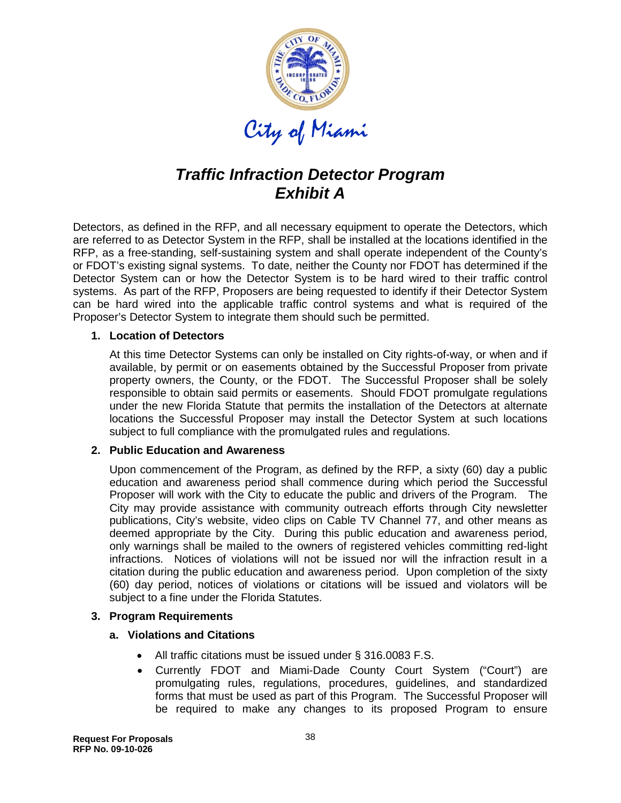

# *Traffic Infraction Detector Program Exhibit A*

Detectors, as defined in the RFP, and all necessary equipment to operate the Detectors, which are referred to as Detector System in the RFP, shall be installed at the locations identified in the RFP, as a free-standing, self-sustaining system and shall operate independent of the County's or FDOT's existing signal systems. To date, neither the County nor FDOT has determined if the Detector System can or how the Detector System is to be hard wired to their traffic control systems. As part of the RFP, Proposers are being requested to identify if their Detector System can be hard wired into the applicable traffic control systems and what is required of the Proposer's Detector System to integrate them should such be permitted.

#### **1. Location of Detectors**

At this time Detector Systems can only be installed on City rights-of-way, or when and if available, by permit or on easements obtained by the Successful Proposer from private property owners, the County, or the FDOT. The Successful Proposer shall be solely responsible to obtain said permits or easements. Should FDOT promulgate regulations under the new Florida Statute that permits the installation of the Detectors at alternate locations the Successful Proposer may install the Detector System at such locations subject to full compliance with the promulgated rules and regulations.

#### **2. Public Education and Awareness**

Upon commencement of the Program, as defined by the RFP, a sixty (60) day a public education and awareness period shall commence during which period the Successful Proposer will work with the City to educate the public and drivers of the Program. The City may provide assistance with community outreach efforts through City newsletter publications, City's website, video clips on Cable TV Channel 77, and other means as deemed appropriate by the City. During this public education and awareness period, only warnings shall be mailed to the owners of registered vehicles committing red-light infractions. Notices of violations will not be issued nor will the infraction result in a citation during the public education and awareness period. Upon completion of the sixty (60) day period, notices of violations or citations will be issued and violators will be subject to a fine under the Florida Statutes.

#### **3. Program Requirements**

#### **a. Violations and Citations**

- All traffic citations must be issued under § 316.0083 F.S.
- Currently FDOT and Miami-Dade County Court System ("Court") are promulgating rules, regulations, procedures, guidelines, and standardized forms that must be used as part of this Program. The Successful Proposer will be required to make any changes to its proposed Program to ensure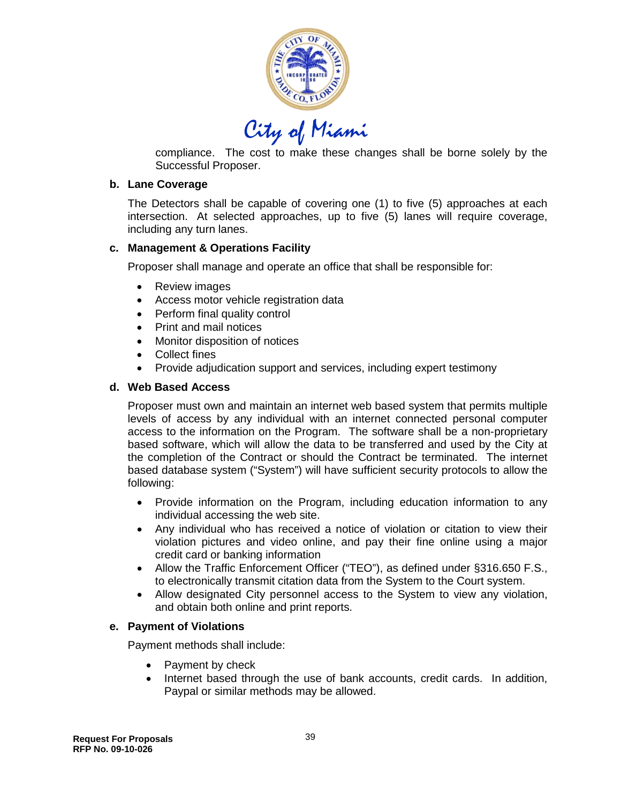

compliance. The cost to make these changes shall be borne solely by the Successful Proposer.

#### **b. Lane Coverage**

The Detectors shall be capable of covering one (1) to five (5) approaches at each intersection. At selected approaches, up to five (5) lanes will require coverage, including any turn lanes.

#### **c. Management & Operations Facility**

Proposer shall manage and operate an office that shall be responsible for:

- Review images
- Access motor vehicle registration data
- Perform final quality control
- Print and mail notices
- Monitor disposition of notices
- Collect fines
- Provide adjudication support and services, including expert testimony

#### **d. Web Based Access**

Proposer must own and maintain an internet web based system that permits multiple levels of access by any individual with an internet connected personal computer access to the information on the Program. The software shall be a non-proprietary based software, which will allow the data to be transferred and used by the City at the completion of the Contract or should the Contract be terminated. The internet based database system ("System") will have sufficient security protocols to allow the following:

- Provide information on the Program, including education information to any individual accessing the web site.
- Any individual who has received a notice of violation or citation to view their violation pictures and video online, and pay their fine online using a major credit card or banking information
- Allow the Traffic Enforcement Officer ("TEO"), as defined under §316.650 F.S., to electronically transmit citation data from the System to the Court system.
- Allow designated City personnel access to the System to view any violation, and obtain both online and print reports.

#### **e. Payment of Violations**

Payment methods shall include:

- Payment by check
- Internet based through the use of bank accounts, credit cards. In addition, Paypal or similar methods may be allowed.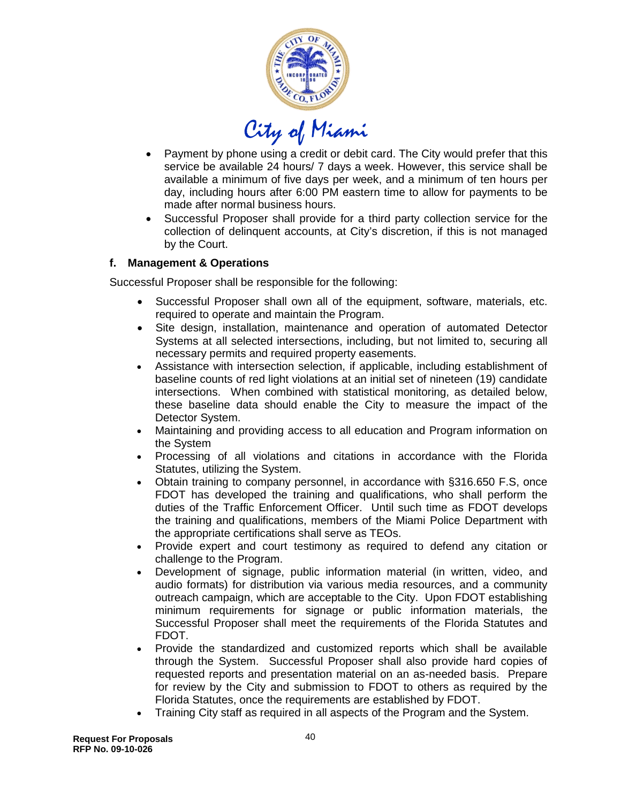

- Payment by phone using a credit or debit card. The City would prefer that this service be available 24 hours/ 7 days a week. However, this service shall be available a minimum of five days per week, and a minimum of ten hours per day, including hours after 6:00 PM eastern time to allow for payments to be made after normal business hours.
- Successful Proposer shall provide for a third party collection service for the collection of delinquent accounts, at City's discretion, if this is not managed by the Court.

# **f. Management & Operations**

Successful Proposer shall be responsible for the following:

- Successful Proposer shall own all of the equipment, software, materials, etc. required to operate and maintain the Program.
- Site design, installation, maintenance and operation of automated Detector Systems at all selected intersections, including, but not limited to, securing all necessary permits and required property easements.
- Assistance with intersection selection, if applicable, including establishment of baseline counts of red light violations at an initial set of nineteen (19) candidate intersections. When combined with statistical monitoring, as detailed below, these baseline data should enable the City to measure the impact of the Detector System.
- Maintaining and providing access to all education and Program information on the System
- Processing of all violations and citations in accordance with the Florida Statutes, utilizing the System.
- Obtain training to company personnel, in accordance with §316.650 F.S, once FDOT has developed the training and qualifications, who shall perform the duties of the Traffic Enforcement Officer. Until such time as FDOT develops the training and qualifications, members of the Miami Police Department with the appropriate certifications shall serve as TEOs.
- Provide expert and court testimony as required to defend any citation or challenge to the Program.
- Development of signage, public information material (in written, video, and audio formats) for distribution via various media resources, and a community outreach campaign, which are acceptable to the City. Upon FDOT establishing minimum requirements for signage or public information materials, the Successful Proposer shall meet the requirements of the Florida Statutes and FDOT.
- Provide the standardized and customized reports which shall be available through the System. Successful Proposer shall also provide hard copies of requested reports and presentation material on an as-needed basis. Prepare for review by the City and submission to FDOT to others as required by the Florida Statutes, once the requirements are established by FDOT.
- Training City staff as required in all aspects of the Program and the System.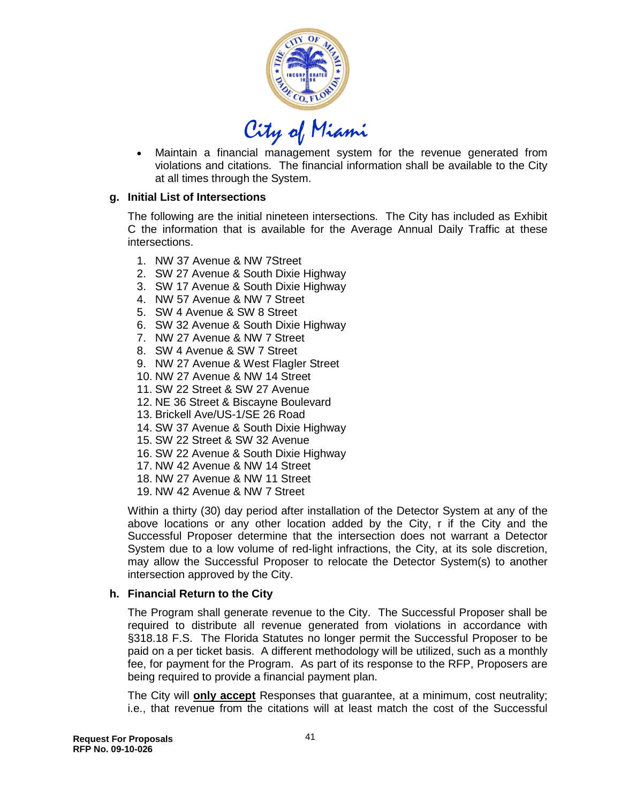

• Maintain a financial management system for the revenue generated from violations and citations. The financial information shall be available to the City at all times through the System.

#### **g. Initial List of Intersections**

The following are the initial nineteen intersections. The City has included as Exhibit C the information that is available for the Average Annual Daily Traffic at these intersections.

- 1. NW 37 Avenue & NW 7Street
- 2. SW 27 Avenue & South Dixie Highway
- 3. SW 17 Avenue & South Dixie Highway
- 4. NW 57 Avenue & NW 7 Street
- 5. SW 4 Avenue & SW 8 Street
- 6. SW 32 Avenue & South Dixie Highway
- 7. NW 27 Avenue & NW 7 Street
- 8. SW 4 Avenue & SW 7 Street
- 9. NW 27 Avenue & West Flagler Street
- 10. NW 27 Avenue & NW 14 Street
- 11. SW 22 Street & SW 27 Avenue
- 12. NE 36 Street & Biscayne Boulevard
- 13. Brickell Ave/US-1/SE 26 Road
- 14. SW 37 Avenue & South Dixie Highway
- 15. SW 22 Street & SW 32 Avenue
- 16. SW 22 Avenue & South Dixie Highway
- 17. NW 42 Avenue & NW 14 Street
- 18. NW 27 Avenue & NW 11 Street
- 19. NW 42 Avenue & NW 7 Street

Within a thirty (30) day period after installation of the Detector System at any of the above locations or any other location added by the City, r if the City and the Successful Proposer determine that the intersection does not warrant a Detector System due to a low volume of red-light infractions, the City, at its sole discretion, may allow the Successful Proposer to relocate the Detector System(s) to another intersection approved by the City.

#### **h. Financial Return to the City**

The Program shall generate revenue to the City. The Successful Proposer shall be required to distribute all revenue generated from violations in accordance with §318.18 F.S. The Florida Statutes no longer permit the Successful Proposer to be paid on a per ticket basis. A different methodology will be utilized, such as a monthly fee, for payment for the Program. As part of its response to the RFP, Proposers are being required to provide a financial payment plan.

The City will **only accept** Responses that guarantee, at a minimum, cost neutrality; i.e., that revenue from the citations will at least match the cost of the Successful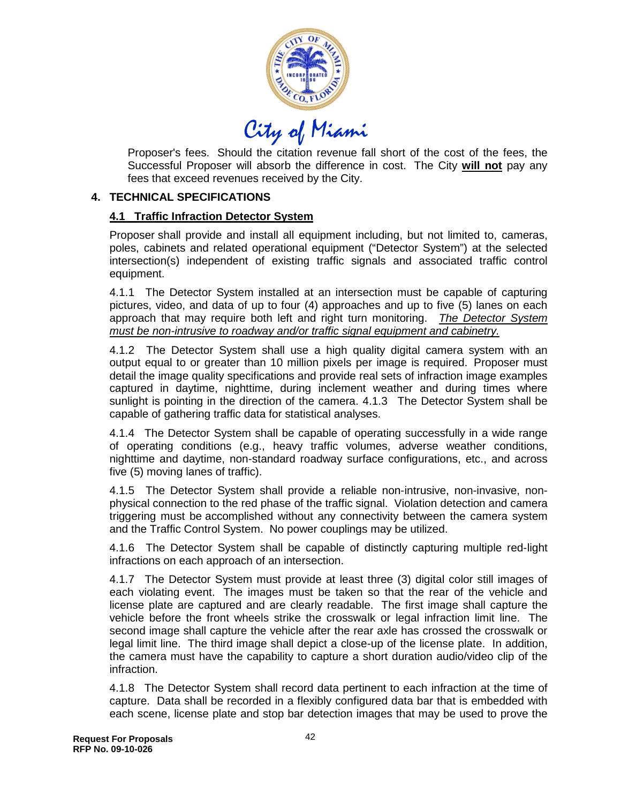

Proposer's fees. Should the citation revenue fall short of the cost of the fees, the Successful Proposer will absorb the difference in cost. The City **will not** pay any fees that exceed revenues received by the City.

#### **4. TECHNICAL SPECIFICATIONS**

#### **4.1 Traffic Infraction Detector System**

Proposer shall provide and install all equipment including, but not limited to, cameras, poles, cabinets and related operational equipment ("Detector System") at the selected intersection(s) independent of existing traffic signals and associated traffic control equipment.

4.1.1 The Detector System installed at an intersection must be capable of capturing pictures, video, and data of up to four (4) approaches and up to five (5) lanes on each approach that may require both left and right turn monitoring. *The Detector System must be non-intrusive to roadway and/or traffic signal equipment and cabinetry.* 

4.1.2 The Detector System shall use a high quality digital camera system with an output equal to or greater than 10 million pixels per image is required. Proposer must detail the image quality specifications and provide real sets of infraction image examples captured in daytime, nighttime, during inclement weather and during times where sunlight is pointing in the direction of the camera. 4.1.3 The Detector System shall be capable of gathering traffic data for statistical analyses.

4.1.4 The Detector System shall be capable of operating successfully in a wide range of operating conditions (e.g., heavy traffic volumes, adverse weather conditions, nighttime and daytime, non-standard roadway surface configurations, etc., and across five (5) moving lanes of traffic).

4.1.5 The Detector System shall provide a reliable non-intrusive, non-invasive, nonphysical connection to the red phase of the traffic signal. Violation detection and camera triggering must be accomplished without any connectivity between the camera system and the Traffic Control System. No power couplings may be utilized.

4.1.6 The Detector System shall be capable of distinctly capturing multiple red-light infractions on each approach of an intersection.

4.1.7 The Detector System must provide at least three (3) digital color still images of each violating event. The images must be taken so that the rear of the vehicle and license plate are captured and are clearly readable. The first image shall capture the vehicle before the front wheels strike the crosswalk or legal infraction limit line. The second image shall capture the vehicle after the rear axle has crossed the crosswalk or legal limit line. The third image shall depict a close-up of the license plate. In addition, the camera must have the capability to capture a short duration audio/video clip of the infraction.

4.1.8 The Detector System shall record data pertinent to each infraction at the time of capture. Data shall be recorded in a flexibly configured data bar that is embedded with each scene, license plate and stop bar detection images that may be used to prove the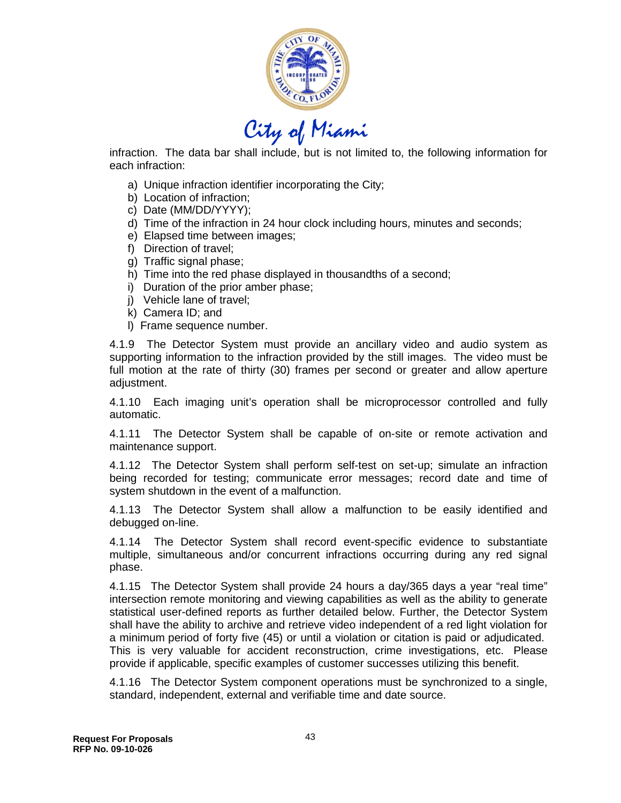

infraction. The data bar shall include, but is not limited to, the following information for each infraction:

- a) Unique infraction identifier incorporating the City;
- b) Location of infraction;
- c) Date (MM/DD/YYYY);
- d) Time of the infraction in 24 hour clock including hours, minutes and seconds;
- e) Elapsed time between images;
- f) Direction of travel;
- g) Traffic signal phase;
- h) Time into the red phase displayed in thousandths of a second;
- i) Duration of the prior amber phase;
- j) Vehicle lane of travel;
- k) Camera ID; and
- l) Frame sequence number.

4.1.9 The Detector System must provide an ancillary video and audio system as supporting information to the infraction provided by the still images. The video must be full motion at the rate of thirty (30) frames per second or greater and allow aperture adjustment.

4.1.10 Each imaging unit's operation shall be microprocessor controlled and fully automatic.

4.1.11 The Detector System shall be capable of on-site or remote activation and maintenance support.

4.1.12 The Detector System shall perform self-test on set-up; simulate an infraction being recorded for testing; communicate error messages; record date and time of system shutdown in the event of a malfunction.

4.1.13 The Detector System shall allow a malfunction to be easily identified and debugged on-line.

4.1.14 The Detector System shall record event-specific evidence to substantiate multiple, simultaneous and/or concurrent infractions occurring during any red signal phase.

4.1.15 The Detector System shall provide 24 hours a day/365 days a year "real time" intersection remote monitoring and viewing capabilities as well as the ability to generate statistical user-defined reports as further detailed below. Further, the Detector System shall have the ability to archive and retrieve video independent of a red light violation for a minimum period of forty five (45) or until a violation or citation is paid or adjudicated. This is very valuable for accident reconstruction, crime investigations, etc. Please provide if applicable, specific examples of customer successes utilizing this benefit.

4.1.16 The Detector System component operations must be synchronized to a single, standard, independent, external and verifiable time and date source.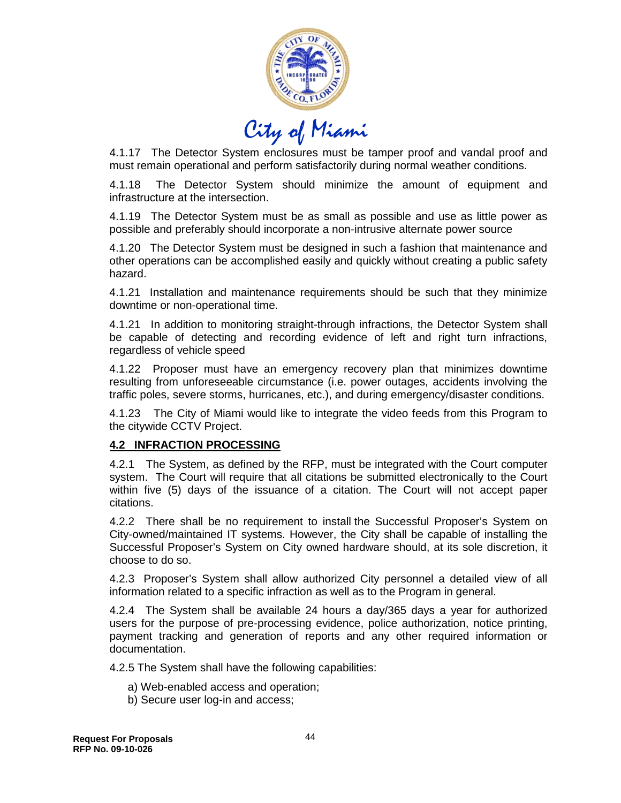

4.1.17 The Detector System enclosures must be tamper proof and vandal proof and must remain operational and perform satisfactorily during normal weather conditions.

4.1.18 The Detector System should minimize the amount of equipment and infrastructure at the intersection.

4.1.19 The Detector System must be as small as possible and use as little power as possible and preferably should incorporate a non-intrusive alternate power source

4.1.20 The Detector System must be designed in such a fashion that maintenance and other operations can be accomplished easily and quickly without creating a public safety hazard.

4.1.21 Installation and maintenance requirements should be such that they minimize downtime or non-operational time.

4.1.21 In addition to monitoring straight-through infractions, the Detector System shall be capable of detecting and recording evidence of left and right turn infractions, regardless of vehicle speed

4.1.22 Proposer must have an emergency recovery plan that minimizes downtime resulting from unforeseeable circumstance (i.e. power outages, accidents involving the traffic poles, severe storms, hurricanes, etc.), and during emergency/disaster conditions.

4.1.23 The City of Miami would like to integrate the video feeds from this Program to the citywide CCTV Project.

#### **4.2 INFRACTION PROCESSING**

4.2.1 The System, as defined by the RFP, must be integrated with the Court computer system. The Court will require that all citations be submitted electronically to the Court within five (5) days of the issuance of a citation. The Court will not accept paper citations.

4.2.2 There shall be no requirement to install the Successful Proposer's System on City-owned/maintained IT systems. However, the City shall be capable of installing the Successful Proposer's System on City owned hardware should, at its sole discretion, it choose to do so.

4.2.3 Proposer's System shall allow authorized City personnel a detailed view of all information related to a specific infraction as well as to the Program in general.

4.2.4 The System shall be available 24 hours a day/365 days a year for authorized users for the purpose of pre-processing evidence, police authorization, notice printing, payment tracking and generation of reports and any other required information or documentation.

4.2.5 The System shall have the following capabilities:

- a) Web-enabled access and operation;
- b) Secure user log-in and access;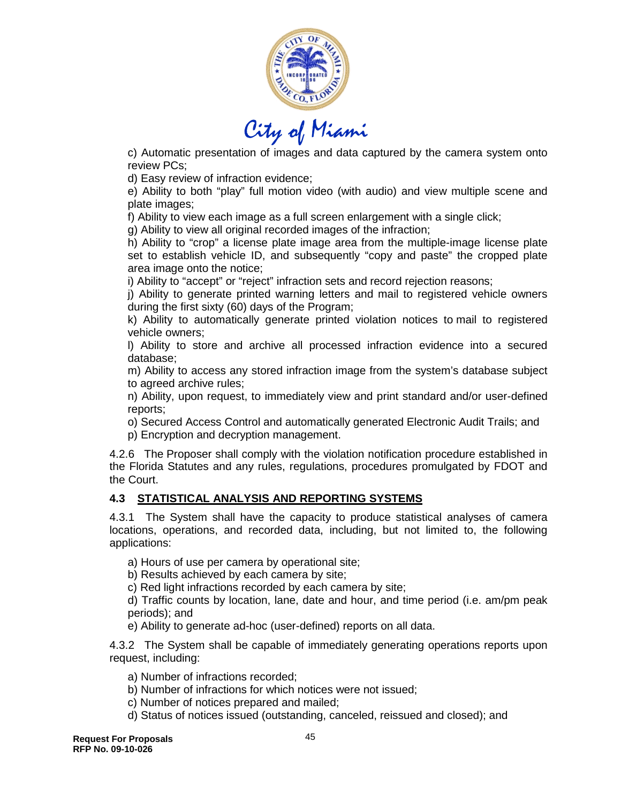

c) Automatic presentation of images and data captured by the camera system onto review PCs;

d) Easy review of infraction evidence;

e) Ability to both "play" full motion video (with audio) and view multiple scene and plate images;

f) Ability to view each image as a full screen enlargement with a single click;

g) Ability to view all original recorded images of the infraction;

h) Ability to "crop" a license plate image area from the multiple-image license plate set to establish vehicle ID, and subsequently "copy and paste" the cropped plate area image onto the notice;

i) Ability to "accept" or "reject" infraction sets and record rejection reasons;

j) Ability to generate printed warning letters and mail to registered vehicle owners during the first sixty (60) days of the Program;

k) Ability to automatically generate printed violation notices to mail to registered vehicle owners;

l) Ability to store and archive all processed infraction evidence into a secured database;

m) Ability to access any stored infraction image from the system's database subject to agreed archive rules;

n) Ability, upon request, to immediately view and print standard and/or user-defined reports;

o) Secured Access Control and automatically generated Electronic Audit Trails; and p) Encryption and decryption management.

4.2.6 The Proposer shall comply with the violation notification procedure established in the Florida Statutes and any rules, regulations, procedures promulgated by FDOT and the Court.

# **4.3 STATISTICAL ANALYSIS AND REPORTING SYSTEMS**

4.3.1 The System shall have the capacity to produce statistical analyses of camera locations, operations, and recorded data, including, but not limited to, the following applications:

a) Hours of use per camera by operational site;

b) Results achieved by each camera by site;

c) Red light infractions recorded by each camera by site;

d) Traffic counts by location, lane, date and hour, and time period (i.e. am/pm peak periods); and

e) Ability to generate ad-hoc (user-defined) reports on all data.

4.3.2 The System shall be capable of immediately generating operations reports upon request, including:

a) Number of infractions recorded;

b) Number of infractions for which notices were not issued;

c) Number of notices prepared and mailed;

d) Status of notices issued (outstanding, canceled, reissued and closed); and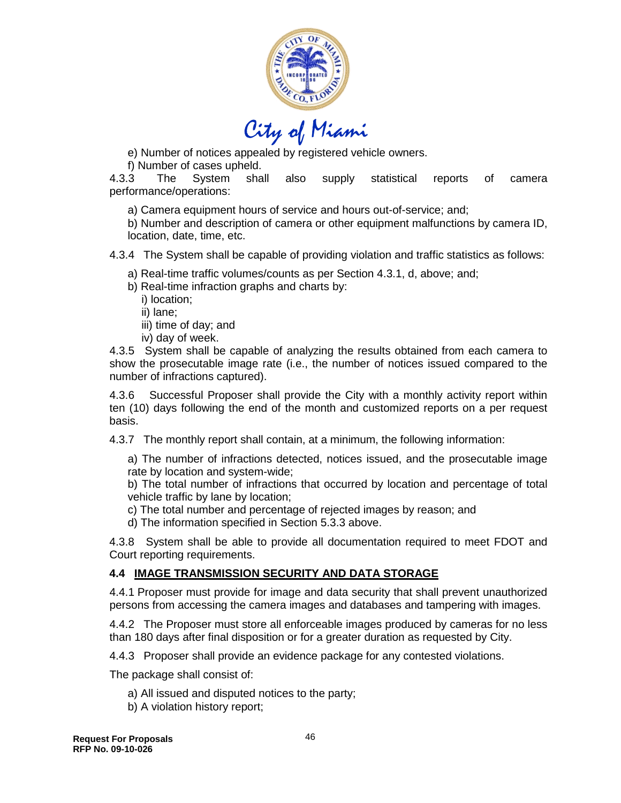

e) Number of notices appealed by registered vehicle owners.

f) Number of cases upheld.

4.3.3 The System shall also supply statistical reports of camera performance/operations:

a) Camera equipment hours of service and hours out-of-service; and;

b) Number and description of camera or other equipment malfunctions by camera ID, location, date, time, etc.

4.3.4 The System shall be capable of providing violation and traffic statistics as follows:

- a) Real-time traffic volumes/counts as per Section 4.3.1, d, above; and;
- b) Real-time infraction graphs and charts by:
	- i) location;
	- ii) lane;
	- iii) time of day; and
	- iv) day of week.

4.3.5 System shall be capable of analyzing the results obtained from each camera to show the prosecutable image rate (i.e., the number of notices issued compared to the number of infractions captured).

4.3.6 Successful Proposer shall provide the City with a monthly activity report within ten (10) days following the end of the month and customized reports on a per request basis.

4.3.7 The monthly report shall contain, at a minimum, the following information:

a) The number of infractions detected, notices issued, and the prosecutable image rate by location and system-wide;

b) The total number of infractions that occurred by location and percentage of total vehicle traffic by lane by location;

- c) The total number and percentage of rejected images by reason; and
- d) The information specified in Section 5.3.3 above.

4.3.8 System shall be able to provide all documentation required to meet FDOT and Court reporting requirements.

# **4.4 IMAGE TRANSMISSION SECURITY AND DATA STORAGE**

4.4.1 Proposer must provide for image and data security that shall prevent unauthorized persons from accessing the camera images and databases and tampering with images.

4.4.2 The Proposer must store all enforceable images produced by cameras for no less than 180 days after final disposition or for a greater duration as requested by City.

4.4.3 Proposer shall provide an evidence package for any contested violations.

The package shall consist of:

- a) All issued and disputed notices to the party;
- b) A violation history report;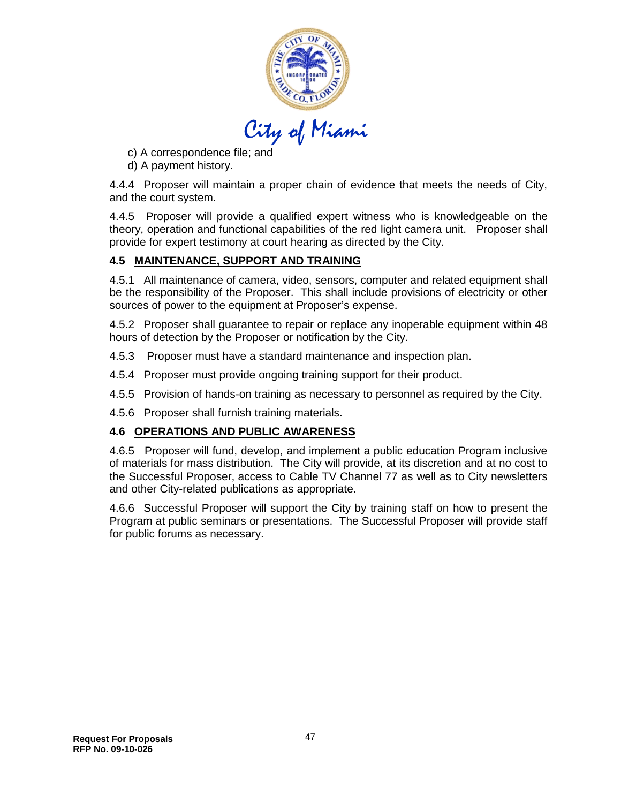

- c) A correspondence file; and
- d) A payment history.

4.4.4 Proposer will maintain a proper chain of evidence that meets the needs of City, and the court system.

4.4.5 Proposer will provide a qualified expert witness who is knowledgeable on the theory, operation and functional capabilities of the red light camera unit. Proposer shall provide for expert testimony at court hearing as directed by the City.

#### **4.5 MAINTENANCE, SUPPORT AND TRAINING**

4.5.1 All maintenance of camera, video, sensors, computer and related equipment shall be the responsibility of the Proposer. This shall include provisions of electricity or other sources of power to the equipment at Proposer's expense.

4.5.2 Proposer shall guarantee to repair or replace any inoperable equipment within 48 hours of detection by the Proposer or notification by the City.

- 4.5.3 Proposer must have a standard maintenance and inspection plan.
- 4.5.4 Proposer must provide ongoing training support for their product.
- 4.5.5 Provision of hands-on training as necessary to personnel as required by the City.
- 4.5.6 Proposer shall furnish training materials.

#### **4.6 OPERATIONS AND PUBLIC AWARENESS**

4.6.5 Proposer will fund, develop, and implement a public education Program inclusive of materials for mass distribution. The City will provide, at its discretion and at no cost to the Successful Proposer, access to Cable TV Channel 77 as well as to City newsletters and other City-related publications as appropriate.

4.6.6 Successful Proposer will support the City by training staff on how to present the Program at public seminars or presentations. The Successful Proposer will provide staff for public forums as necessary.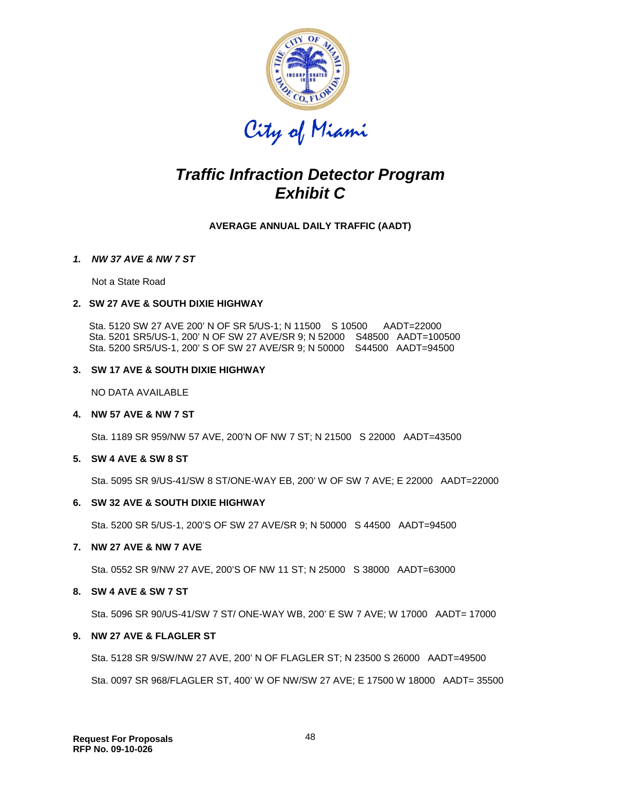

# *Traffic Infraction Detector Program Exhibit C*

**AVERAGE ANNUAL DAILY TRAFFIC (AADT)**

#### *1. NW 37 AVE & NW 7 ST*

Not a State Road

#### **2. SW 27 AVE & SOUTH DIXIE HIGHWAY**

 Sta. 5120 SW 27 AVE 200' N OF SR 5/US-1; N 11500 S 10500 AADT=22000 Sta. 5201 SR5/US-1, 200' N OF SW 27 AVE/SR 9; N 52000 S48500 AADT=100500 Sta. 5200 SR5/US-1, 200' S OF SW 27 AVE/SR 9; N 50000 S44500 AADT=94500

#### **3. SW 17 AVE & SOUTH DIXIE HIGHWAY**

NO DATA AVAILABLE

#### **4. NW 57 AVE & NW 7 ST**

Sta. 1189 SR 959/NW 57 AVE, 200'N OF NW 7 ST; N 21500 S 22000 AADT=43500

#### **5. SW 4 AVE & SW 8 ST**

Sta. 5095 SR 9/US-41/SW 8 ST/ONE-WAY EB, 200' W OF SW 7 AVE; E 22000 AADT=22000

#### **6. SW 32 AVE & SOUTH DIXIE HIGHWAY**

Sta. 5200 SR 5/US-1, 200'S OF SW 27 AVE/SR 9; N 50000 S 44500 AADT=94500

#### **7. NW 27 AVE & NW 7 AVE**

Sta. 0552 SR 9/NW 27 AVE, 200'S OF NW 11 ST; N 25000 S 38000 AADT=63000

#### **8. SW 4 AVE & SW 7 ST**

Sta. 5096 SR 90/US-41/SW 7 ST/ ONE-WAY WB, 200' E SW 7 AVE; W 17000 AADT= 17000

#### **9. NW 27 AVE & FLAGLER ST**

Sta. 5128 SR 9/SW/NW 27 AVE, 200' N OF FLAGLER ST; N 23500 S 26000 AADT=49500 Sta. 0097 SR 968/FLAGLER ST, 400' W OF NW/SW 27 AVE; E 17500 W 18000 AADT= 35500